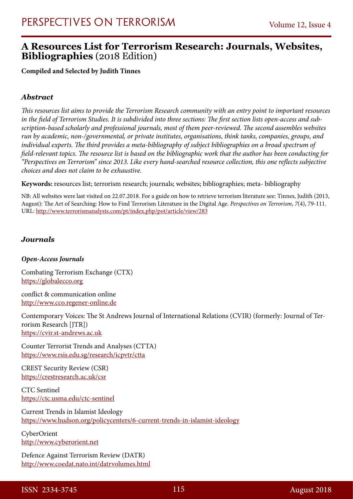### **A Resources List for Terrorism Research: Journals, Websites, Bibliographies** (2018 Edition)

**Compiled and Selected by Judith Tinnes**

### *Abstract*

*This resources list aims to provide the Terrorism Research community with an entry point to important resources in the field of Terrorism Studies. It is subdivided into three sections: The first section lists open-access and subscription-based scholarly and professional journals, most of them peer-reviewed. The second assembles websites run by academic, non-/governmental, or private institutes, organisations, think tanks, companies, groups, and individual experts. The third provides a meta-bibliography of subject bibliographies on a broad spectrum of field-relevant topics. The resource list is based on the bibliographic work that the author has been conducting for "Perspectives on Terrorism" since 2013. Like every hand-searched resource collection, this one reflects subjective choices and does not claim to be exhaustive.*

**Keywords:** resources list; terrorism research; journals; websites; bibliographies; meta- bibliography

NB: All websites were last visited on 22.07.2018. For a guide on how to retrieve terrorism literature see: Tinnes, Judith (2013, August): The Art of Searching: How to Find Terrorism Literature in the Digital Age. *Perspectives on Terrorism*, *7*(4), 79-111. URL: <http://www.terrorismanalysts.com/pt/index.php/pot/article/view/283>

### *Journals*

#### *Open-Access Journals*

Combating Terrorism Exchange (CTX) [https://globalecco.org](https://globalecco.org/)

conflict & communication online [http://www.cco.regener-online.de](http://www.cco.regener-online.de/)

Contemporary Voices: The St Andrews Journal of International Relations (CVIR) (formerly: Journal of Terrorism Research [JTR]) [https://cvir.st-andrews.ac.uk](https://cvir.st-andrews.ac.uk/)

Counter Terrorist Trends and Analyses (CTTA) <https://www.rsis.edu.sg/research/icpvtr/ctta>

CREST Security Review (CSR) <https://crestresearch.ac.uk/csr>

CTC Sentinel <https://ctc.usma.edu/ctc-sentinel>

Current Trends in Islamist Ideology <https://www.hudson.org/policycenters/6-current-trends-in-islamist-ideology>

CyberOrient [http://www.cyberorient.net](http://www.cyberorient.net/)

Defence Against Terrorism Review (DATR) <http://www.coedat.nato.int/datrvolumes.html>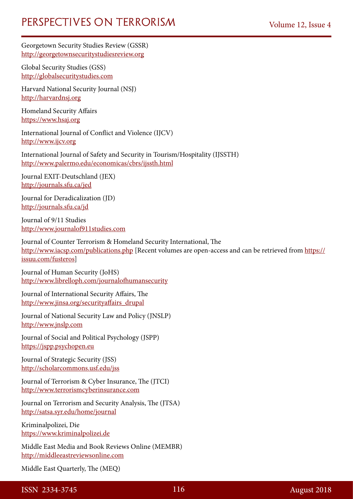Georgetown Security Studies Review (GSSR) [http://georgetownsecuritystudiesreview.org](http://georgetownsecuritystudiesreview.org/)

Global Security Studies (GSS) [http://globalsecuritystudies.com](http://globalsecuritystudies.com/)

Harvard National Security Journal (NSJ) [http://harvardnsj.org](http://harvardnsj.org/)

Homeland Security Affairs [https://www.hsaj.org](https://www.hsaj.org/)

International Journal of Conflict and Violence (IJCV) [http://www.ijcv.org](http://www.ijcv.org/)

International Journal of Safety and Security in Tourism/Hospitality (IJSSTH) <http://www.palermo.edu/economicas/cbrs/ijssth.html>

Journal EXIT-Deutschland (JEX) <http://journals.sfu.ca/jed>

Journal for Deradicalization (JD) <http://journals.sfu.ca/jd>

Journal of 9/11 Studies [http://www.journalof911studies.com](http://www.journalof911studies.com/)

Journal of Counter Terrorism & Homeland Security International, The <http://www.iacsp.com/publications.php>[Recent volumes are open-access and can be retrieved from [https://](https://issuu.com/fusteros) [issuu.com/fusteros\]](https://issuu.com/fusteros)

Journal of Human Security (JoHS) <http://www.librelloph.com/journalofhumansecurity>

Journal of International Security Affairs, The [http://www.jinsa.org/securityaffairs\\_drupal](http://www.jinsa.org/securityaffairs_drupal)

Journal of National Security Law and Policy (JNSLP) [http://www.jnslp.com](http://www.jnslp.com/)

Journal of Social and Political Psychology (JSPP) [https://jspp.psychopen.eu](https://jspp.psychopen.eu/)

Journal of Strategic Security (JSS) <http://scholarcommons.usf.edu/jss>

Journal of Terrorism & Cyber Insurance, The (JTCI) [http://www.terrorismcyberinsurance.com](http://www.terrorismcyberinsurance.com/)

Journal on Terrorism and Security Analysis, The (JTSA) <http://satsa.syr.edu/home/journal>

Kriminalpolizei, Die [https://www.kriminalpolizei.de](https://www.kriminalpolizei.de/)

Middle East Media and Book Reviews Online (MEMBR) [http://middleeastreviewsonline.com](http://middleeastreviewsonline.com/)

Middle East Quarterly, The (MEQ)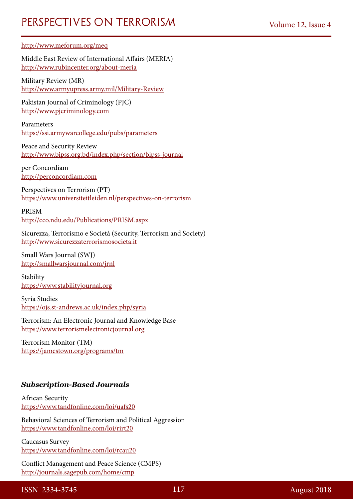#### <http://www.meforum.org/meq>

Middle East Review of International Affairs (MERIA) <http://www.rubincenter.org/about-meria>

Military Review (MR) <http://www.armyupress.army.mil/Military-Review>

Pakistan Journal of Criminology (PJC) [http://www.pjcriminology.com](http://www.pjcriminology.com/)

Parameters <https://ssi.armywarcollege.edu/pubs/parameters>

Peace and Security Review <http://www.bipss.org.bd/index.php/section/bipss-journal>

per Concordiam [http://perconcordiam.com](http://perconcordiam.com/)

Perspectives on Terrorism (PT) <https://www.universiteitleiden.nl/perspectives-on-terrorism>

PRISM <http://cco.ndu.edu/Publications/PRISM.aspx>

Sicurezza, Terrorismo e Società (Security, Terrorism and Society) [http://www.sicurezzaterrorismosocieta.it](http://www.sicurezzaterrorismosocieta.it/)

Small Wars Journal (SWJ) <http://smallwarsjournal.com/jrnl>

Stability [https://www.stabilityjournal.org](https://www.stabilityjournal.org/)

Syria Studies <https://ojs.st-andrews.ac.uk/index.php/syria>

Terrorism: An Electronic Journal and Knowledge Base [https://www.terrorismelectronicjournal.org](https://www.terrorismelectronicjournal.org/)

Terrorism Monitor (TM) <https://jamestown.org/programs/tm>

### *Subscription-Based Journals*

African Security <https://www.tandfonline.com/loi/uafs20>

Behavioral Sciences of Terrorism and Political Aggression <https://www.tandfonline.com/loi/rirt20>

Caucasus Survey <https://www.tandfonline.com/loi/rcau20>

Conflict Management and Peace Science (CMPS) <http://journals.sagepub.com/home/cmp>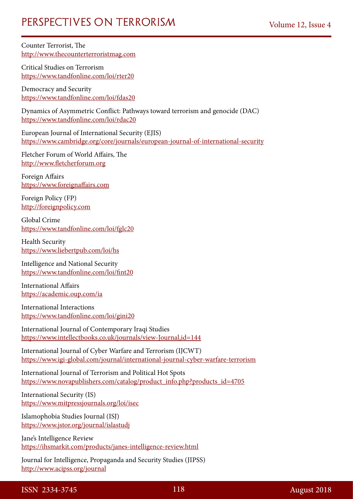Counter Terrorist, The [http://www.thecounterterroristmag.com](http://www.thecounterterroristmag.com/)

Critical Studies on Terrorism <https://www.tandfonline.com/loi/rter20>

Democracy and Security <https://www.tandfonline.com/loi/fdas20>

Dynamics of Asymmetric Conflict: Pathways toward terrorism and genocide (DAC) <https://www.tandfonline.com/loi/rdac20>

European Journal of International Security (EJIS) <https://www.cambridge.org/core/journals/european-journal-of-international-security>

Fletcher Forum of World Affairs, The [http://www.fletcherforum.org](http://www.fletcherforum.org/)

Foreign Affairs [https://www.foreignaffairs.com](https://www.foreignaffairs.com/)

Foreign Policy (FP) [http://foreignpolicy.com](http://foreignpolicy.com/)

Global Crime <https://www.tandfonline.com/loi/fglc20>

Health Security <https://www.liebertpub.com/loi/hs>

Intelligence and National Security <https://www.tandfonline.com/loi/fint20>

International Affairs <https://academic.oup.com/ia>

International Interactions <https://www.tandfonline.com/loi/gini20>

International Journal of Contemporary Iraqi Studies <https://www.intellectbooks.co.uk/journals/view-Journal,id=144>

International Journal of Cyber Warfare and Terrorism (IJCWT) <https://www.igi-global.com/journal/international-journal-cyber-warfare-terrorism>

International Journal of Terrorism and Political Hot Spots [https://www.novapublishers.com/catalog/product\\_info.php?products\\_id=4705](https://www.novapublishers.com/catalog/product_info.php?products_id=4705)

International Security (IS) <https://www.mitpressjournals.org/loi/isec>

Islamophobia Studies Journal (ISJ) <https://www.jstor.org/journal/islastudj>

Jane's Intelligence Review <https://ihsmarkit.com/products/janes-intelligence-review.html>

Journal for Intelligence, Propaganda and Security Studies (JIPSS) <http://www.acipss.org/journal>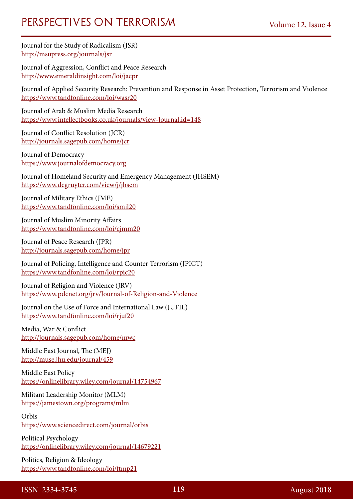Journal for the Study of Radicalism (JSR) <http://msupress.org/journals/jsr>

Journal of Aggression, Conflict and Peace Research <http://www.emeraldinsight.com/loi/jacpr>

Journal of Applied Security Research: Prevention and Response in Asset Protection, Terrorism and Violence <https://www.tandfonline.com/loi/wasr20>

Journal of Arab & Muslim Media Research <https://www.intellectbooks.co.uk/journals/view-Journal,id=148>

Journal of Conflict Resolution (JCR) <http://journals.sagepub.com/home/jcr>

Journal of Democracy [https://www.journalofdemocracy.org](https://www.journalofdemocracy.org/)

Journal of Homeland Security and Emergency Management (JHSEM) <https://www.degruyter.com/view/j/jhsem>

Journal of Military Ethics (JME) <https://www.tandfonline.com/loi/smil20>

Journal of Muslim Minority Affairs <https://www.tandfonline.com/loi/cjmm20>

Journal of Peace Research (JPR) <http://journals.sagepub.com/home/jpr>

Journal of Policing, Intelligence and Counter Terrorism (JPICT) <https://www.tandfonline.com/loi/rpic20>

Journal of Religion and Violence (JRV) <https://www.pdcnet.org/jrv/Journal-of-Religion-and-Violence>

Journal on the Use of Force and International Law (JUFIL) <https://www.tandfonline.com/loi/rjuf20>

Media, War & Conflict <http://journals.sagepub.com/home/mwc>

Middle East Journal, The (MEJ) <http://muse.jhu.edu/journal/459>

Middle East Policy <https://onlinelibrary.wiley.com/journal/14754967>

Militant Leadership Monitor (MLM) <https://jamestown.org/programs/mlm>

Orbis <https://www.sciencedirect.com/journal/orbis>

Political Psychology <https://onlinelibrary.wiley.com/journal/14679221>

Politics, Religion & Ideology <https://www.tandfonline.com/loi/ftmp21>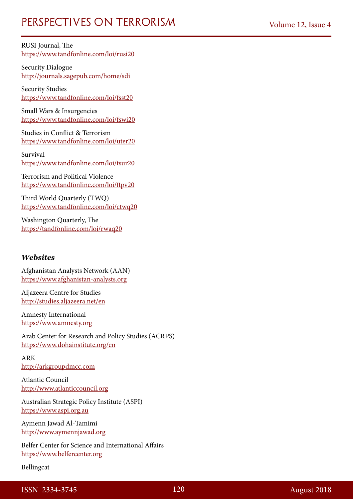RUSI Journal, The <https://www.tandfonline.com/loi/rusi20>

Security Dialogue <http://journals.sagepub.com/home/sdi>

Security Studies <https://www.tandfonline.com/loi/fsst20>

Small Wars & Insurgencies <https://www.tandfonline.com/loi/fswi20>

Studies in Conflict & Terrorism <https://www.tandfonline.com/loi/uter20>

Survival <https://www.tandfonline.com/loi/tsur20>

Terrorism and Political Violence <https://www.tandfonline.com/loi/ftpv20>

Third World Quarterly (TWQ) <https://www.tandfonline.com/loi/ctwq20>

Washington Quarterly, The <https://tandfonline.com/loi/rwaq20>

#### *Websites*

Afghanistan Analysts Network (AAN) [https://www.afghanistan-analysts.org](https://www.afghanistan-analysts.org/)

Aljazeera Centre for Studies <http://studies.aljazeera.net/en>

Amnesty International [https://www.amnesty.org](https://www.amnesty.org/)

Arab Center for Research and Policy Studies (ACRPS) <https://www.dohainstitute.org/en>

ARK [http://arkgroupdmcc.com](http://arkgroupdmcc.com/)

Atlantic Council [http://www.atlanticcouncil.org](http://www.atlanticcouncil.org/)

Australian Strategic Policy Institute (ASPI) [https://www.aspi.org.au](https://www.aspi.org.au/)

Aymenn Jawad Al-Tamimi [http://www.aymennjawad.org](http://www.aymennjawad.org/)

Belfer Center for Science and International Affairs [https://www.belfercenter.org](https://www.belfercenter.org/)

Bellingcat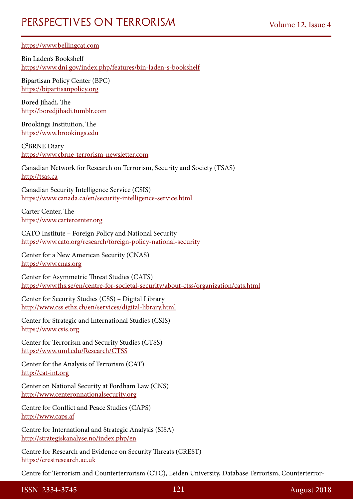[https://www.bellingcat.com](https://www.bellingcat.com/)

Bin Laden's Bookshelf <https://www.dni.gov/index.php/features/bin-laden-s-bookshelf>

Bipartisan Policy Center (BPC) [https://bipartisanpolicy.org](https://bipartisanpolicy.org/)

Bored Jihadi, The [http://boredjihadi.tumblr.com](http://boredjihadi.tumblr.com/)

Brookings Institution, The [https://www.brookings.edu](https://www.brookings.edu/)

C2 BRNE Diary [https://www.cbrne-terrorism-newsletter.com](https://www.cbrne-terrorism-newsletter.com/)

Canadian Network for Research on Terrorism, Security and Society (TSAS) [http://tsas.ca](http://tsas.ca/)

Canadian Security Intelligence Service (CSIS) <https://www.canada.ca/en/security-intelligence-service.html>

Carter Center, The [https://www.cartercenter.org](https://www.cartercenter.org/)

CATO Institute – Foreign Policy and National Security <https://www.cato.org/research/foreign-policy-national-security>

Center for a New American Security (CNAS) [https://www.cnas.org](https://www.cnas.org/)

Center for Asymmetric Threat Studies (CATS) <https://www.fhs.se/en/centre-for-societal-security/about-ctss/organization/cats.html>

Center for Security Studies (CSS) – Digital Library <http://www.css.ethz.ch/en/services/digital-library.html>

Center for Strategic and International Studies (CSIS) [https://www.csis.org](https://www.csis.org/)

Center for Terrorism and Security Studies (CTSS) <https://www.uml.edu/Research/CTSS>

Center for the Analysis of Terrorism (CAT) [http://cat-int.org](http://cat-int.org/)

Center on National Security at Fordham Law (CNS) [http://www.centeronnationalsecurity.org](http://www.centeronnationalsecurity.org/)

Centre for Conflict and Peace Studies (CAPS) [http://www.caps.af](http://www.caps.af/)

Centre for International and Strategic Analysis (SISA) <http://strategiskanalyse.no/index.php/en>

Centre for Research and Evidence on Security Threats (CREST) [https://crestresearch.ac.uk](https://crestresearch.ac.uk/)

Centre for Terrorism and Counterterrorism (CTC), Leiden University, Database Terrorism, Counterterror-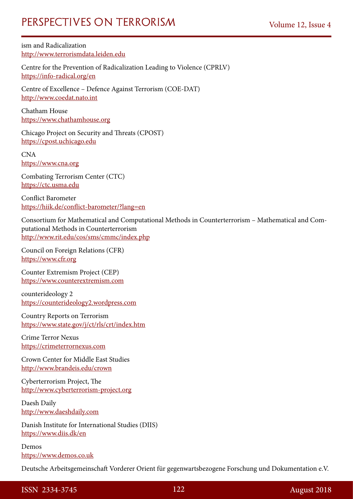ism and Radicalization [http://www.terrorismdata.leiden.edu](http://www.terrorismdata.leiden.edu/)

Centre for the Prevention of Radicalization Leading to Violence (CPRLV) <https://info-radical.org/en>

Centre of Excellence – Defence Against Terrorism (COE-DAT) [http://www.coedat.nato.int](http://www.coedat.nato.int/)

Chatham House [https://www.chathamhouse.org](https://www.chathamhouse.org/)

Chicago Project on Security and Threats (CPOST) [https://cpost.uchicago.edu](https://cpost.uchicago.edu/)

CNA [https://www.cna.org](https://www.cna.org/)

Combating Terrorism Center (CTC) [https://ctc.usma.edu](https://ctc.usma.edu/)

Conflict Barometer <https://hiik.de/conflict-barometer/?lang=en>

Consortium for Mathematical and Computational Methods in Counterterrorism – Mathematical and Computational Methods in Counterterrorism <http://www.rit.edu/cos/sms/cmmc/index.php>

Council on Foreign Relations (CFR) [https://www.cfr.org](https://www.cfr.org/)

Counter Extremism Project (CEP) [https://www.counterextremism.com](https://www.counterextremism.com/)

counterideology 2 [https://counterideology2.wordpress.com](https://counterideology2.wordpress.com/)

Country Reports on Terrorism <https://www.state.gov/j/ct/rls/crt/index.htm>

Crime Terror Nexus [https://crimeterrornexus.com](https://crimeterrornexus.com/)

Crown Center for Middle East Studies <http://www.brandeis.edu/crown>

Cyberterrorism Project, The [http://www.cyberterrorism-project.org](http://www.cyberterrorism-project.org/)

Daesh Daily [http://www.daeshdaily.com](http://www.daeshdaily.com/)

Danish Institute for International Studies (DIIS) <https://www.diis.dk/en>

Demos [https://www.demos.co.uk](https://www.demos.co.uk/)

Deutsche Arbeitsgemeinschaft Vorderer Orient für gegenwartsbezogene Forschung und Dokumentation e.V.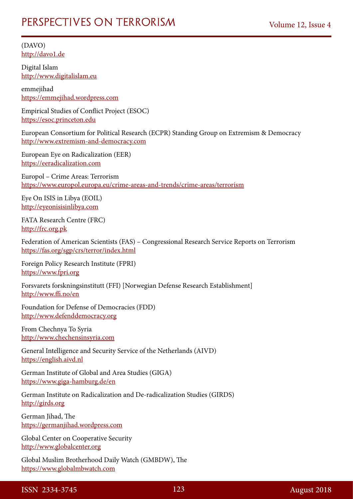(DAVO) [http://davo1.de](http://davo1.de/)

Digital Islam [http://www.digitalislam.eu](http://www.digitalislam.eu/)

emmejihad [https://emmejihad.wordpress.com](https://emmejihad.wordpress.com/)

Empirical Studies of Conflict Project (ESOC) [https://esoc.princeton.edu](https://esoc.princeton.edu/)

European Consortium for Political Research (ECPR) Standing Group on Extremism & Democracy [http://www.extremism-and-democracy.com](http://www.extremism-and-democracy.com/)

European Eye on Radicalization (EER) [https://eeradicalization.com](https://eeradicalization.com/)

Europol – Crime Areas: Terrorism <https://www.europol.europa.eu/crime-areas-and-trends/crime-areas/terrorism>

Eye On ISIS in Libya (EOIL) [http://eyeonisisinlibya.com](http://eyeonisisinlibya.com/)

FATA Research Centre (FRC) [http://frc.org.pk](http://frc.org.pk/)

Federation of American Scientists (FAS) – Congressional Research Service Reports on Terrorism <https://fas.org/sgp/crs/terror/index.html>

Foreign Policy Research Institute (FPRI) [https://www.fpri.org](https://www.fpri.org/)

Forsvarets forskningsinstitutt (FFI) [Norwegian Defense Research Establishment] <http://www.ffi.no/en>

Foundation for Defense of Democracies (FDD) [http://www.defenddemocracy.org](http://www.defenddemocracy.org/)

From Chechnya To Syria [http://www.chechensinsyria.com](http://www.chechensinsyria.com/)

General Intelligence and Security Service of the Netherlands (AIVD) [https://english.aivd.nl](https://english.aivd.nl/)

German Institute of Global and Area Studies (GIGA) <https://www.giga-hamburg.de/en>

German Institute on Radicalization and De-radicalization Studies (GIRDS) [http://girds.org](http://girds.org/)

German Jihad, The [https://germanjihad.wordpress.com](https://germanjihad.wordpress.com/)

Global Center on Cooperative Security [http://www.globalcenter.org](http://www.globalcenter.org/)

Global Muslim Brotherhood Daily Watch (GMBDW), The [https://www.globalmbwatch.com](https://www.globalmbwatch.com/)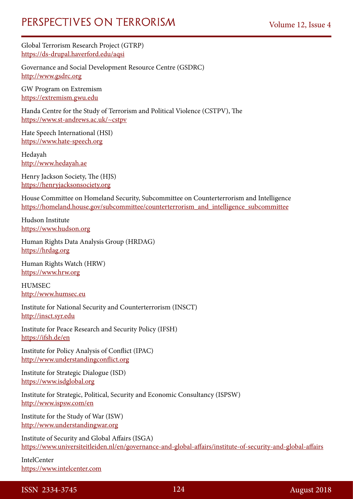Global Terrorism Research Project (GTRP) <https://ds-drupal.haverford.edu/aqsi>

Governance and Social Development Resource Centre (GSDRC) [http://www.gsdrc.org](http://www.gsdrc.org/)

GW Program on Extremism [https://extremism.gwu.edu](https://extremism.gwu.edu/)

Handa Centre for the Study of Terrorism and Political Violence (CSTPV), The <https://www.st-andrews.ac.uk/~cstpv>

Hate Speech International (HSI) [https://www.hate-speech.org](https://www.hate-speech.org/)

Hedayah [http://www.hedayah.ae](http://www.hedayah.ae/)

Henry Jackson Society, The (HJS) [https://henryjacksonsociety.org](https://henryjacksonsociety.org/)

House Committee on Homeland Security, Subcommittee on Counterterrorism and Intelligence [https://homeland.house.gov/subcommittee/counterterrorism\\_and\\_intelligence\\_subcommittee](https://homeland.house.gov/subcommittee/counterterrorism_and_intelligence_subcommittee)

Hudson Institute [https://www.hudson.org](https://www.hudson.org/)

Human Rights Data Analysis Group (HRDAG) [https://hrdag.org](https://hrdag.org/)

Human Rights Watch (HRW) [https://www.hrw.org](https://www.hrw.org/)

HUMSEC [http://www.humsec.eu](http://www.humsec.eu/)

Institute for National Security and Counterterrorism (INSCT) [http://insct.syr.edu](http://insct.syr.edu/)

Institute for Peace Research and Security Policy (IFSH) <https://ifsh.de/en>

Institute for Policy Analysis of Conflict (IPAC) [http://www.understandingconflict.org](http://www.understandingconflict.org/)

Institute for Strategic Dialogue (ISD) [https://www.isdglobal.org](https://www.isdglobal.org/)

Institute for Strategic, Political, Security and Economic Consultancy (ISPSW) <http://www.ispsw.com/en>

Institute for the Study of War (ISW) [http://www.understandingwar.org](http://www.understandingwar.org/)

Institute of Security and Global Affairs (ISGA) <https://www.universiteitleiden.nl/en/governance-and-global-affairs/institute-of-security-and-global-affairs>

IntelCenter [https://www.intelcenter.com](https://www.intelcenter.com/)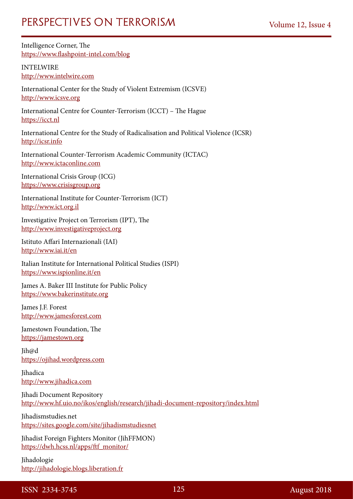Intelligence Corner, The <https://www.flashpoint-intel.com/blog>

INTELWIRE [http://www.intelwire.com](http://www.intelwire.com/)

International Center for the Study of Violent Extremism (ICSVE) [http://www.icsve.org](http://www.icsve.org/)

International Centre for Counter-Terrorism (ICCT) – The Hague [https://icct.nl](https://icct.nl/)

International Centre for the Study of Radicalisation and Political Violence (ICSR) [http://icsr.info](http://icsr.info/)

International Counter-Terrorism Academic Community (ICTAC) [http://www.ictaconline.com](http://www.ictaconline.com/)

International Crisis Group (ICG) [https://www.crisisgroup.org](https://www.crisisgroup.org/)

International Institute for Counter-Terrorism (ICT) [http://www.ict.org.il](http://www.ict.org.il/)

Investigative Project on Terrorism (IPT), The [http://www.investigativeproject.org](http://www.investigativeproject.org/)

Istituto Affari Internazionali (IAI) <http://www.iai.it/en>

Italian Institute for International Political Studies (ISPI) <https://www.ispionline.it/en>

James A. Baker III Institute for Public Policy [https://www.bakerinstitute.org](https://www.bakerinstitute.org/)

James J.F. Forest [http://www.jamesforest.com](http://www.jamesforest.com/)

Jamestown Foundation, The [https://jamestown.org](https://jamestown.org/)

Jih@d [https://ojihad.wordpress.com](https://ojihad.wordpress.com/)

Jihadica [http://www.jihadica.com](http://www.jihadica.com/)

Jihadi Document Repository <http://www.hf.uio.no/ikos/english/research/jihadi-document-repository/index.html>

Jihadismstudies.net <https://sites.google.com/site/jihadismstudiesnet>

Jihadist Foreign Fighters Monitor (JihFFMON) [https://dwh.hcss.nl/apps/ftf\\_monitor/](https://dwh.hcss.nl/apps/ftf_monitor/)

Jihadologie [http://jihadologie.blogs.liberation.fr](http://jihadologie.blogs.liberation.fr/)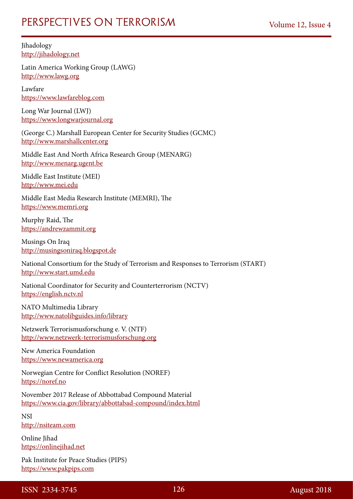Jihadology [http://jihadology.net](http://jihadology.net/)

Latin America Working Group (LAWG) [http://www.lawg.org](http://www.lawg.org/)

Lawfare [https://www.lawfareblog.com](https://www.lawfareblog.com/)

Long War Journal (LWJ) [https://www.longwarjournal.org](https://www.longwarjournal.org/)

(George C.) Marshall European Center for Security Studies (GCMC) [http://www.marshallcenter.org](http://www.marshallcenter.org/)

Middle East And North Africa Research Group (MENARG) [http://www.menarg.ugent.be](http://www.menarg.ugent.be/)

Middle East Institute (MEI) [http://www.mei.edu](http://www.mei.edu/)

Middle East Media Research Institute (MEMRI), The [https://www.memri.org](https://www.memri.org/)

Murphy Raid, The [https://andrewzammit.org](https://andrewzammit.org/)

Musings On Iraq [http://musingsoniraq.blogspot.de](http://musingsoniraq.blogspot.de/)

National Consortium for the Study of Terrorism and Responses to Terrorism (START) [http://www.start.umd.edu](http://www.start.umd.edu/)

National Coordinator for Security and Counterterrorism (NCTV) [https://english.nctv.nl](https://english.nctv.nl/)

NATO Multimedia Library <http://www.natolibguides.info/library>

Netzwerk Terrorismusforschung e. V. (NTF) [http://www.netzwerk-terrorismusforschung.org](http://www.netzwerk-terrorismusforschung.org/)

New America Foundation [https://www.newamerica.org](https://www.newamerica.org/)

Norwegian Centre for Conflict Resolution (NOREF) [https://noref.no](https://noref.no/)

November 2017 Release of Abbottabad Compound Material <https://www.cia.gov/library/abbottabad-compound/index.html>

**NSI** [http://nsiteam.com](http://nsiteam.com/)

Online Iihad [https://onlinejihad.net](https://onlinejihad.net/)

Pak Institute for Peace Studies (PIPS) [https://www.pakpips.com](https://www.pakpips.com/)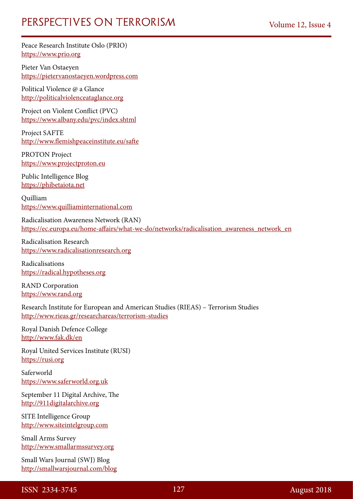Peace Research Institute Oslo (PRIO) [https://www.prio.org](https://www.prio.org/)

Pieter Van Ostaeyen [https://pietervanostaeyen.wordpress.com](https://pietervanostaeyen.wordpress.com/)

Political Violence @ a Glance [http://politicalviolenceataglance.org](http://politicalviolenceataglance.org/)

Project on Violent Conflict (PVC) <https://www.albany.edu/pvc/index.shtml>

Project SAFTE <http://www.flemishpeaceinstitute.eu/safte>

PROTON Project [https://www.projectproton.eu](https://www.projectproton.eu/)

Public Intelligence Blog [https://phibetaiota.net](https://phibetaiota.net/)

Quilliam [https://www.quilliaminternational.com](https://www.quilliaminternational.com/)

Radicalisation Awareness Network (RAN) [https://ec.europa.eu/home-affairs/what-we-do/networks/radicalisation\\_awareness\\_network\\_en](https://ec.europa.eu/home-affairs/what-we-do/networks/radicalisation_awareness_network_en)

Radicalisation Research [https://www.radicalisationresearch.org](https://www.radicalisationresearch.org/)

Radicalisations [https://radical.hypotheses.org](https://radical.hypotheses.org/)

RAND Corporation [https://www.rand.org](https://www.rand.org/)

Research Institute for European and American Studies (RIEAS) – Terrorism Studies <http://www.rieas.gr/researchareas/terrorism-studies>

Royal Danish Defence College <http://www.fak.dk/en>

Royal United Services Institute (RUSI) [https://rusi.org](https://rusi.org/)

Saferworld [https://www.saferworld.org.uk](https://www.saferworld.org.uk/)

September 11 Digital Archive, The [http://911digitalarchive.org](http://911digitalarchive.org/)

SITE Intelligence Group [http://www.siteintelgroup.com](http://www.siteintelgroup.com/)

Small Arms Survey [http://www.smallarmssurvey.org](http://www.smallarmssurvey.org/)

Small Wars Journal (SWJ) Blog <http://smallwarsjournal.com/blog>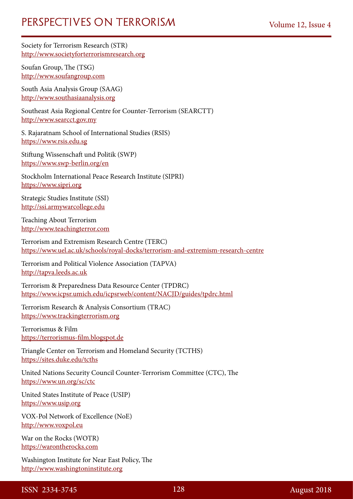Society for Terrorism Research (STR) [http://www.societyforterrorismresearch.org](http://www.societyforterrorismresearch.org/)

Soufan Group, The (TSG) [http://www.soufangroup.com](http://www.soufangroup.com/)

South Asia Analysis Group (SAAG) [http://www.southasiaanalysis.org](http://www.southasiaanalysis.org/)

Southeast Asia Regional Centre for Counter-Terrorism (SEARCTT) [http://www.searcct.gov.my](http://www.searcct.gov.my/)

S. Rajaratnam School of International Studies (RSIS) [https://www.rsis.edu.sg](https://www.rsis.edu.sg/)

Stiftung Wissenschaft und Politik (SWP) <https://www.swp-berlin.org/en>

Stockholm International Peace Research Institute (SIPRI) [https://www.sipri.org](https://www.sipri.org/)

Strategic Studies Institute (SSI) [http://ssi.armywarcollege.edu](http://ssi.armywarcollege.edu/)

Teaching About Terrorism [http://www.teachingterror.com](http://www.teachingterror.com/)

Terrorism and Extremism Research Centre (TERC) <https://www.uel.ac.uk/schools/royal-docks/terrorism-and-extremism-research-centre>

Terrorism and Political Violence Association (TAPVA) [http://tapva.leeds.ac.uk](http://tapva.leeds.ac.uk/)

Terrorism & Preparedness Data Resource Center (TPDRC) <https://www.icpsr.umich.edu/icpsrweb/content/NACJD/guides/tpdrc.html>

Terrorism Research & Analysis Consortium (TRAC) [https://www.trackingterrorism.org](https://www.trackingterrorism.org/)

Terrorismus & Film [https://terrorismus-film.blogspot.de](https://terrorismus-film.blogspot.de/)

Triangle Center on Terrorism and Homeland Security (TCTHS) <https://sites.duke.edu/tcths>

United Nations Security Council Counter-Terrorism Committee (CTC), The <https://www.un.org/sc/ctc>

United States Institute of Peace (USIP) [https://www.usip.org](https://www.usip.org/)

VOX-Pol Network of Excellence (NoE) [http://www.voxpol.eu](http://www.voxpol.eu/)

War on the Rocks (WOTR) [https://warontherocks.com](https://warontherocks.com/)

Washington Institute for Near East Policy, The [http://www.washingtoninstitute.org](http://www.washingtoninstitute.org/)

ISSN 2334-3745 128 August 2018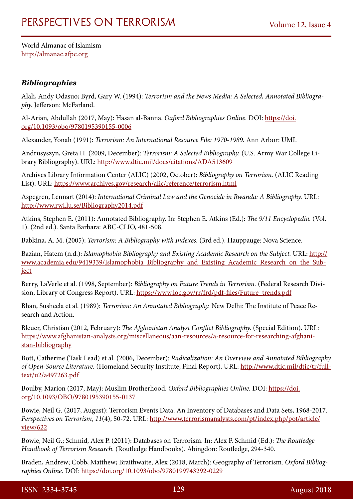World Almanac of Islamism [http://almanac.afpc.org](http://almanac.afpc.org/)

### *Bibliographies*

Alali, Andy Odasuo; Byrd, Gary W. (1994): *Terrorism and the News Media: A Selected, Annotated Bibliography.* Jefferson: McFarland.

Al-Arian, Abdullah (2017, May): Hasan al-Banna. *Oxford Bibliographies Online.* DOI: [https://doi.](https://doi.org/10.1093/obo/9780195390155-0006) [org/10.1093/obo/9780195390155-0006](https://doi.org/10.1093/obo/9780195390155-0006)

Alexander, Yonah (1991): *Terrorism: An International Resource File: 1970-1989.* Ann Arbor: UMI.

Andrusyszyn, Greta H. (2009, December): *Terrorism: A Selected Bibliography.* (U.S. Army War College Library Bibliography). URL: <http://www.dtic.mil/docs/citations/ADA513609>

Archives Library Information Center (ALIC) (2002, October): *Bibliography on Terrorism.* (ALIC Reading List). URL: <https://www.archives.gov/research/alic/reference/terrorism.html>

Aspegren, Lennart (2014): *International Criminal Law and the Genocide in Rwanda: A Bibliography.* URL: <http://www.rwi.lu.se/Bibliography2014.pdf>

Atkins, Stephen E. (2011): Annotated Bibliography. In: Stephen E. Atkins (Ed.): *The 9/11 Encyclopedia.* (Vol. 1). (2nd ed.). Santa Barbara: ABC-CLIO, 481-508.

Babkina, A. M. (2005): *Terrorism: A Bibliography with Indexes.* (3rd ed.). Hauppauge: Nova Science.

Bazian, Hatem (n.d.): *Islamophobia Bibliography and Existing Academic Research on the Subject.* URL: [http://](http://www.academia.edu/9419339/Islamophobia_Bibliography_and_Existing_Academic_Research_on_the_Subject) [www.academia.edu/9419339/Islamophobia\\_Bibliography\\_and\\_Existing\\_Academic\\_Research\\_on\\_the\\_Sub](http://www.academia.edu/9419339/Islamophobia_Bibliography_and_Existing_Academic_Research_on_the_Subject)[ject](http://www.academia.edu/9419339/Islamophobia_Bibliography_and_Existing_Academic_Research_on_the_Subject)

Berry, LaVerle et al. (1998, September): *Bibliography on Future Trends in Terrorism.* (Federal Research Division, Library of Congress Report). URL: [https://www.loc.gov/rr/frd/pdf-files/Future\\_trends.pdf](https://www.loc.gov/rr/frd/pdf-files/Future_trends.pdf)

Bhan, Susheela et al. (1989): *Terrorism: An Annotated Bibliography.* New Delhi: The Institute of Peace Research and Action.

Bleuer, Christian (2012, February): *The Afghanistan Analyst Conflict Bibliography.* (Special Edition). URL: [https://www.afghanistan-analysts.org/miscellaneous/aan-resources/a-resource-for-researching-afghani](https://www.afghanistan-analysts.org/miscellaneous/aan-resources/a-resource-for-researching-afghanistan-bibliography)[stan-bibliography](https://www.afghanistan-analysts.org/miscellaneous/aan-resources/a-resource-for-researching-afghanistan-bibliography)

Bott, Catherine (Task Lead) et al. (2006, December): *Radicalization: An Overview and Annotated Bibliography of Open-Source Literature.* (Homeland Security Institute; Final Report). URL: [http://www.dtic.mil/dtic/tr/full](http://www.dtic.mil/dtic/tr/fulltext/u2/a497263.pdf)[text/u2/a497263.pdf](http://www.dtic.mil/dtic/tr/fulltext/u2/a497263.pdf)

Boulby, Marion (2017, May): Muslim Brotherhood. *Oxford Bibliographies Online.* DOI: [https://doi.](https://doi.org/10.1093/OBO/9780195390155-0137) [org/10.1093/OBO/9780195390155-0137](https://doi.org/10.1093/OBO/9780195390155-0137)

Bowie, Neil G. (2017, August): Terrorism Events Data: An Inventory of Databases and Data Sets, 1968-2017. *Perspectives on Terrorism*, *11*(4), 50-72. URL: [http://www.terrorismanalysts.com/pt/index.php/pot/article/](http://www.terrorismanalysts.com/pt/index.php/pot/article/view/622) [view/622](http://www.terrorismanalysts.com/pt/index.php/pot/article/view/622)

Bowie, Neil G.; Schmid, Alex P. (2011): Databases on Terrorism. In: Alex P. Schmid (Ed.): *The Routledge Handbook of Terrorism Research.* (Routledge Handbooks). Abingdon: Routledge, 294-340.

Braden, Andrew; Cobb, Matthew; Braithwaite, Alex (2018, March): Geography of Terrorism. *Oxford Bibliographies Online.* DOI:<https://doi.org/10.1093/obo/9780199743292-0229>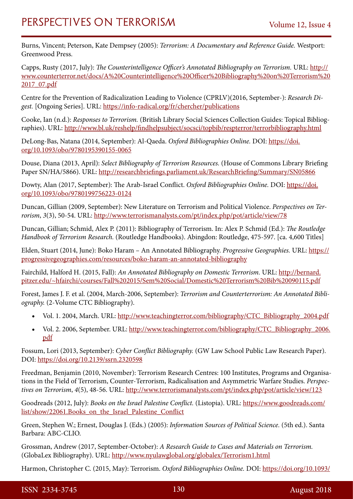Burns, Vincent; Peterson, Kate Dempsey (2005): *Terrorism: A Documentary and Reference Guide.* Westport: Greenwood Press.

Capps, Rusty (2017, July): *The Counterintelligence Officer's Annotated Bibliography on Terrorism*. URL: [http://](http://www.counterterror.net/docs/A%20Counterintelligence%20Officer%20Bibliography%20on%20Terrorism%202017_07.pdf) [www.counterterror.net/docs/A%20Counterintelligence%20Officer%20Bibliography%20on%20Terrorism%20](http://www.counterterror.net/docs/A%20Counterintelligence%20Officer%20Bibliography%20on%20Terrorism%202017_07.pdf) [2017\\_07.pdf](http://www.counterterror.net/docs/A%20Counterintelligence%20Officer%20Bibliography%20on%20Terrorism%202017_07.pdf)

Centre for the Prevention of Radicalization Leading to Violence (CPRLV)(2016, September-): *Research Digest.* [Ongoing Series]. URL: <https://info-radical.org/fr/chercher/publications>

Cooke, Ian (n.d.): *Responses to Terrorism.* (British Library Social Sciences Collection Guides: Topical Bibliographies). URL: <http://www.bl.uk/reshelp/findhelpsubject/socsci/topbib/respterror/terrorbibliography.html>

DeLong-Bas, Natana (2014, September): Al-Qaeda. *Oxford Bibliographies Online.* DOI: [https://doi.](https://doi.org/10.1093/obo/9780195390155-0065) [org/10.1093/obo/9780195390155-0065](https://doi.org/10.1093/obo/9780195390155-0065)

Douse, Diana (2013, April): *Select Bibliography of Terrorism Resources.* (House of Commons Library Briefing Paper SN/HA/5866). URL:<http://researchbriefings.parliament.uk/ResearchBriefing/Summary/SN05866>

Dowty, Alan (2017, September): The Arab-Israel Conflict. *Oxford Bibliographies Online.* DOI: [https://doi.](https://doi.org/10.1093/obo/9780199756223-0124) [org/10.1093/obo/9780199756223-0124](https://doi.org/10.1093/obo/9780199756223-0124)

Duncan, Gillian (2009, September): New Literature on Terrorism and Political Violence. *Perspectives on Terrorism*, *3*(3), 50-54. URL: <http://www.terrorismanalysts.com/pt/index.php/pot/article/view/78>

Duncan, Gillian; Schmid, Alex P. (2011): Bibliography of Terrorism. In: Alex P. Schmid (Ed.): *The Routledge Handbook of Terrorism Research.* (Routledge Handbooks). Abingdon: Routledge, 475-597. [ca. 4,600 Titles]

Elden, Stuart (2014, June): Boko Haram – An Annotated Bibliography. *Progressive Geographies.* URL: [https://](https://progressivegeographies.com/resources/boko-haram-an-annotated-bibliography) [progressivegeographies.com/resources/boko-haram-an-annotated-bibliography](https://progressivegeographies.com/resources/boko-haram-an-annotated-bibliography)

Fairchild, Halford H. (2015, Fall): *An Annotated Bibliography on Domestic Terrorism.* URL: [http://bernard.](http://bernard.pitzer.edu/~hfairchi/courses/Fall%202015/Sem%20Social/Domestic%20Terrorism%20Bib%20090115.pdf) [pitzer.edu/~hfairchi/courses/Fall%202015/Sem%20Social/Domestic%20Terrorism%20Bib%20090115.pdf](http://bernard.pitzer.edu/~hfairchi/courses/Fall%202015/Sem%20Social/Domestic%20Terrorism%20Bib%20090115.pdf)

Forest, James J. F. et al. (2004, March-2006, September): *Terrorism and Counterterrorism: An Annotated Bibliography.* (2-Volume CTC Bibliography).

- Vol. 1. 2004, March. URL: [http://www.teachingterror.com/bibliography/CTC\\_Bibliography\\_2004.pdf](http://www.teachingterror.com/bibliography/CTC_Bibliography_2004.pdf)
- Vol. 2. 2006, September. URL: [http://www.teachingterror.com/bibliography/CTC\\_Bibliography\\_2006.](http://www.teachingterror.com/bibliography/CTC_Bibliography_2006.pdf) [pdf](http://www.teachingterror.com/bibliography/CTC_Bibliography_2006.pdf)

Fossum, Lori (2013, September): *Cyber Conflict Bibliography.* (GW Law School Public Law Research Paper). DOI:<https://doi.org/10.2139/ssrn.2320598>

Freedman, Benjamin (2010, November): Terrorism Research Centres: 100 Institutes, Programs and Organisations in the Field of Terrorism, Counter-Terrorism, Radicalisation and Asymmetric Warfare Studies. *Perspectives on Terrorism*, *4*(5), 48-56. URL:<http://www.terrorismanalysts.com/pt/index.php/pot/article/view/123>

Goodreads (2012, July): *Books on the Israel Palestine Conflict.* (Listopia). URL: [https://www.goodreads.com/](https://www.goodreads.com/list/show/22061.Books_on_the_Israel_Palestine_Conflict) [list/show/22061.Books\\_on\\_the\\_Israel\\_Palestine\\_Conflict](https://www.goodreads.com/list/show/22061.Books_on_the_Israel_Palestine_Conflict)

Green, Stephen W.; Ernest, Douglas J. (Eds.) (2005): *Information Sources of Political Science.* (5th ed.). Santa Barbara: ABC-CLIO.

Grossman, Andrew (2017, September-October): *A Research Guide to Cases and Materials on Terrorism.* (GlobaLex Bibliography). URL: <http://www.nyulawglobal.org/globalex/Terrorism1.html>

Harmon, Christopher C. (2015, May): Terrorism. *Oxford Bibliographies Online.* DOI: [https://doi.org/10.1093/](https://doi.org/10.1093/obo/9780199791279-0062)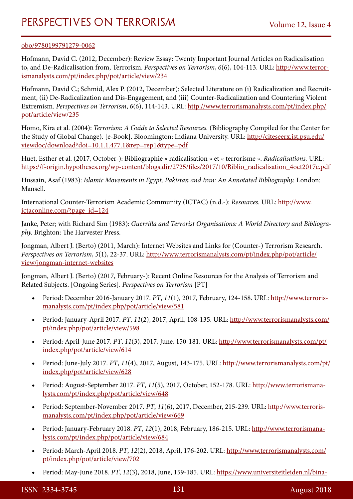#### [obo/9780199791279-0062](https://doi.org/10.1093/obo/9780199791279-0062)

Hofmann, David C. (2012, December): Review Essay: Twenty Important Journal Articles on Radicalisation to, and De-Radicalisation from, Terrorism. *Perspectives on Terrorism*, *6*(6), 104-113. URL: [http://www.terror](http://www.terrorismanalysts.com/pt/index.php/pot/article/view/234)[ismanalysts.com/pt/index.php/pot/article/view/234](http://www.terrorismanalysts.com/pt/index.php/pot/article/view/234)

Hofmann, David C.; Schmid, Alex P. (2012, December): Selected Literature on (i) Radicalization and Recruitment, (ii) De-Radicalization and Dis-Engagement, and (iii) Counter-Radicalization and Countering Violent Extremism. *Perspectives on Terrorism*, *6*(6), 114-143. URL: [http://www.terrorismanalysts.com/pt/index.php/](http://www.terrorismanalysts.com/pt/index.php/pot/article/view/235) [pot/article/view/235](http://www.terrorismanalysts.com/pt/index.php/pot/article/view/235)

Homo, Kira et al. (2004): *Terrorism: A Guide to Selected Resources.* (Bibliography Compiled for the Center for the Study of Global Change). [e-Book]. Bloomington: Indiana University. URL: [http://citeseerx.ist.psu.edu/](http://citeseerx.ist.psu.edu/viewdoc/download?doi=10.1.1.477.1&rep=rep1&type=pdf) [viewdoc/download?doi=10.1.1.477.1&rep=rep1&type=pdf](http://citeseerx.ist.psu.edu/viewdoc/download?doi=10.1.1.477.1&rep=rep1&type=pdf)

Huet, Esther et al. (2017, October-): Bibliographie « radicalisation » et « terrorisme ». *Radicalisations.* URL: [https://f-origin.hypotheses.org/wp-content/blogs.dir/2725/files/2017/10/Biblio\\_radicalisation\\_4oct2017e.pdf](https://f-origin.hypotheses.org/wp-content/blogs.dir/2725/files/2017/10/Biblio_radicalisation_4oct2017e.pdf)

Hussain, Asaf (1983): *Islamic Movements in Egypt, Pakistan and Iran: An Annotated Bibliography.* London: Mansell.

International Counter-Terrorism Academic Community (ICTAC) (n.d.-): *Resources.* URL: [http://www.](http://www.ictaconline.com/?page_id=124) [ictaconline.com/?page\\_id=124](http://www.ictaconline.com/?page_id=124)

Janke, Peter; with Richard Sim (1983): *Guerrilla and Terrorist Organisations: A World Directory and Bibliography.* Brighton: The Harvester Press.

Jongman, Albert J. (Berto) (2011, March): Internet Websites and Links for (Counter-) Terrorism Research. *Perspectives on Terrorism*, *5*(1), 22-37. URL: [http://www.terrorismanalysts.com/pt/index.php/pot/article/](http://www.terrorismanalysts.com/pt/index.php/pot/article/view/jongman-internet-websites) [view/jongman-internet-websites](http://www.terrorismanalysts.com/pt/index.php/pot/article/view/jongman-internet-websites)

Jongman, Albert J. (Berto) (2017, February-): Recent Online Resources for the Analysis of Terrorism and Related Subjects. [Ongoing Series]. *Perspectives on Terrorism* [PT]

- • Period: December 2016-January 2017. *PT*, *11*(1), 2017, February, 124-158. URL: [http://www.terroris](http://www.terrorismanalysts.com/pt/index.php/pot/article/view/581)[manalysts.com/pt/index.php/pot/article/view/581](http://www.terrorismanalysts.com/pt/index.php/pot/article/view/581)
- • Period: January-April 2017. *PT*, *11*(2), 2017, April, 108-135. URL: [http://www.terrorismanalysts.com/](http://www.terrorismanalysts.com/pt/index.php/pot/article/view/598) [pt/index.php/pot/article/view/598](http://www.terrorismanalysts.com/pt/index.php/pot/article/view/598)
- Period: April-June 2017. *PT*, 11(3), 2017, June, 150-181. URL: [http://www.terrorismanalysts.com/pt/](http://www.terrorismanalysts.com/pt/index.php/pot/article/view/614) [index.php/pot/article/view/614](http://www.terrorismanalysts.com/pt/index.php/pot/article/view/614)
- Period: June-July 2017. *PT*, 11(4), 2017, August, 143-175. URL: [http://www.terrorismanalysts.com/pt/](http://www.terrorismanalysts.com/pt/index.php/pot/article/view/628) [index.php/pot/article/view/628](http://www.terrorismanalysts.com/pt/index.php/pot/article/view/628)
- Period: August-September 2017. *PT*, 11(5), 2017, October, 152-178. URL: [http://www.terrorismana](http://www.terrorismanalysts.com/pt/index.php/pot/article/view/648)[lysts.com/pt/index.php/pot/article/view/648](http://www.terrorismanalysts.com/pt/index.php/pot/article/view/648)
- Period: September-November 2017. *PT*, 11(6), 2017, December, 215-239. URL: [http://www.terroris](http://www.terrorismanalysts.com/pt/index.php/pot/article/view/669)[manalysts.com/pt/index.php/pot/article/view/669](http://www.terrorismanalysts.com/pt/index.php/pot/article/view/669)
- Period: January-February 2018. PT, 12(1), 2018, February, 186-215. URL: [http://www.terrorismana](http://www.terrorismanalysts.com/pt/index.php/pot/article/view/684)[lysts.com/pt/index.php/pot/article/view/684](http://www.terrorismanalysts.com/pt/index.php/pot/article/view/684)
- Period: March-April 2018. *PT*, 12(2), 2018, April, 176-202. URL: [http://www.terrorismanalysts.com/](http://www.terrorismanalysts.com/pt/index.php/pot/article/view/702) [pt/index.php/pot/article/view/702](http://www.terrorismanalysts.com/pt/index.php/pot/article/view/702)
- Period: May-June 2018. *PT*, 12(3), 2018, June, 159-185. URL: [https://www.universiteitleiden.nl/bina-](https://www.universiteitleiden.nl/binaries/content/assets/customsites/perspectives-on-terrorism/2018/issue-3/09---recent-online-resources-for-the-analysis-of-terrorism-and-r.pdf)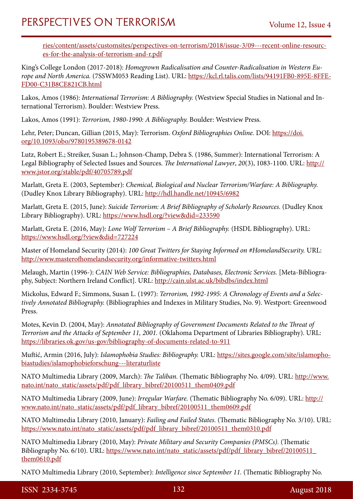[ries/content/assets/customsites/perspectives-on-terrorism/2018/issue-3/09---recent-online-resourc](https://www.universiteitleiden.nl/binaries/content/assets/customsites/perspectives-on-terrorism/2018/issue-3/09---recent-online-resources-for-the-analysis-of-terrorism-and-r.pdf)[es-for-the-analysis-of-terrorism-and-r.pdf](https://www.universiteitleiden.nl/binaries/content/assets/customsites/perspectives-on-terrorism/2018/issue-3/09---recent-online-resources-for-the-analysis-of-terrorism-and-r.pdf)

King's College London (2017-2018): *Homegrown Radicalisation and Counter-Radicalisation in Western Europe and North America.* (7SSWM053 Reading List). URL: [https://kcl.rl.talis.com/lists/94191FB0-895E-8FFE-](https://kcl.rl.talis.com/lists/94191FB0-895E-8FFE-FD00-C31B8CE821CB.html)[FD00-C31B8CE821CB.html](https://kcl.rl.talis.com/lists/94191FB0-895E-8FFE-FD00-C31B8CE821CB.html)

Lakos, Amos (1986): *International Terrorism: A Bibliography.* (Westview Special Studies in National and International Terrorism). Boulder: Westview Press.

Lakos, Amos (1991): *Terrorism, 1980-1990: A Bibliography.* Boulder: Westview Press.

Lehr, Peter; Duncan, Gillian (2015, May): Terrorism. *Oxford Bibliographies Online.* DOI: [https://doi.](https://doi.org/10.1093/obo/9780195389678-0142) [org/10.1093/obo/9780195389678-0142](https://doi.org/10.1093/obo/9780195389678-0142)

Lutz, Robert E.; Streiker, Susan L.; Johnson-Champ, Debra S. (1986, Summer): International Terrorism: A Legal Bibliography of Selected Issues and Sources. *The International Lawyer*, *20*(3), 1083-1100. URL: [http://](http://www.jstor.org/stable/pdf/40705789.pdf) [www.jstor.org/stable/pdf/40705789.pdf](http://www.jstor.org/stable/pdf/40705789.pdf)

Marlatt, Greta E. (2003, September): *Chemical, Biological and Nuclear Terrorism/Warfare: A Bibliography.* (Dudley Knox Library Bibliography). URL: <http://hdl.handle.net/10945/6982>

Marlatt, Greta E. (2015, June): *Suicide Terrorism: A Brief Bibliography of Scholarly Resources.* (Dudley Knox Library Bibliography). URL: <https://www.hsdl.org/?view&did=233590>

Marlatt, Greta E. (2016, May): *Lone Wolf Terrorism – A Brief Bibliography.* (HSDL Bibliography). URL: <https://www.hsdl.org/?view&did=727224>

Master of Homeland Security (2014): *100 Great Twitters for Staying Informed on #HomelandSecurity.* URL: <http://www.masterofhomelandsecurity.org/informative-twitters.html>

Melaugh, Martin (1996-): *CAIN Web Service: Bibliographies, Databases, Electronic Services.* [Meta-Bibliography, Subject: Northern Ireland Conflict]. URL: <http://cain.ulst.ac.uk/bibdbs/index.html>

Mickolus, Edward F.; Simmons, Susan L. (1997): *Terrorism, 1992-1995: A Chronology of Events and a Selectively Annotated Bibliography.* (Bibliographies and Indexes in Military Studies, No. 9). Westport: Greenwood Press.

Motes, Kevin D. (2004, May): *Annotated Bibliography of Government Documents Related to the Threat of Terrorism and the Attacks of September 11, 2001.* (Oklahoma Department of Libraries Bibliography). URL: <https://libraries.ok.gov/us-gov/bibliography-of-documents-related-to-911>

Muftić, Armin (2016, July): *Islamophobia Studies: Bibliography.* URL: [https://sites.google.com/site/islamopho](https://sites.google.com/site/islamophobiastudies/islamophobieforschung---literaturliste)[biastudies/islamophobieforschung---literaturliste](https://sites.google.com/site/islamophobiastudies/islamophobieforschung---literaturliste)

NATO Multimedia Library (2009, March): *The Taliban.* (Thematic Bibliography No. 4/09). URL: [http://www.](http://www.nato.int/nato_static/assets/pdf/pdf_library_bibref/20100511_them0409.pdf) [nato.int/nato\\_static/assets/pdf/pdf\\_library\\_bibref/20100511\\_them0409.pdf](http://www.nato.int/nato_static/assets/pdf/pdf_library_bibref/20100511_them0409.pdf)

NATO Multimedia Library (2009, June): *Irregular Warfare.* (Thematic Bibliography No. 6/09). URL: [http://](http://www.nato.int/nato_static/assets/pdf/pdf_library_bibref/20100511_them0609.pdf) [www.nato.int/nato\\_static/assets/pdf/pdf\\_library\\_bibref/20100511\\_them0609.pdf](http://www.nato.int/nato_static/assets/pdf/pdf_library_bibref/20100511_them0609.pdf)

NATO Multimedia Library (2010, January): *Failing and Failed States.* (Thematic Bibliography No. 3/10). URL: [https://www.nato.int/nato\\_static/assets/pdf/pdf\\_library\\_bibref/20100511\\_them0310.pdf](https://www.nato.int/nato_static/assets/pdf/pdf_library_bibref/20100511_them0310.pdf)

NATO Multimedia Library (2010, May): *Private Military and Security Companies (PMSCs).* (Thematic Bibliography No. 6/10). URL: https://www.nato.int/nato\_static/assets/pdf/pdf\_library\_bibref/20100511 [them0610.pdf](https://www.nato.int/nato_static/assets/pdf/pdf_library_bibref/20100511_them0610.pdf)

NATO Multimedia Library (2010, September): *Intelligence since September 11.* (Thematic Bibliography No.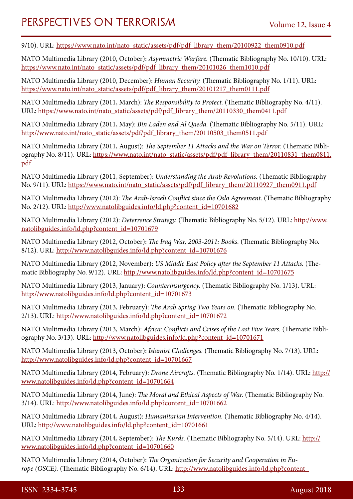9/10). URL: [https://www.nato.int/nato\\_static/assets/pdf/pdf\\_library\\_them/20100922\\_them0910.pdf](https://www.nato.int/nato_static/assets/pdf/pdf_library_them/20100922_them0910.pdf)

NATO Multimedia Library (2010, October): *Asymmetric Warfare.* (Thematic Bibliography No. 10/10). URL: [https://www.nato.int/nato\\_static/assets/pdf/pdf\\_library\\_them/20101026\\_them1010.pdf](https://www.nato.int/nato_static/assets/pdf/pdf_library_them/20101026_them1010.pdf)

NATO Multimedia Library (2010, December): *Human Security.* (Thematic Bibliography No. 1/11). URL: [https://www.nato.int/nato\\_static/assets/pdf/pdf\\_library\\_them/20101217\\_them0111.pdf](https://www.nato.int/nato_static/assets/pdf/pdf_library_them/20101217_them0111.pdf)

NATO Multimedia Library (2011, March): *The Responsibility to Protect.* (Thematic Bibliography No. 4/11). URL: [https://www.nato.int/nato\\_static/assets/pdf/pdf\\_library\\_them/20110330\\_them0411.pdf](https://www.nato.int/nato_static/assets/pdf/pdf_library_them/20110330_them0411.pdf)

NATO Multimedia Library (2011, May): *Bin Laden and Al Qaeda.* (Thematic Bibliography No. 5/11). URL: [http://www.nato.int/nato\\_static/assets/pdf/pdf\\_library\\_them/20110503\\_them0511.pdf](http://www.nato.int/nato_static/assets/pdf/pdf_library_them/20110503_them0511.pdf)

NATO Multimedia Library (2011, August): *The September 11 Attacks and the War on Terror*. (Thematic Bibliography No. 8/11). URL: [https://www.nato.int/nato\\_static/assets/pdf/pdf\\_library\\_them/20110831\\_them0811.](https://www.nato.int/nato_static/assets/pdf/pdf_library_them/20110831_them0811.pdf) [pdf](https://www.nato.int/nato_static/assets/pdf/pdf_library_them/20110831_them0811.pdf)

NATO Multimedia Library (2011, September): *Understanding the Arab Revolutions.* (Thematic Bibliography No. 9/11). URL: [https://www.nato.int/nato\\_static/assets/pdf/pdf\\_library\\_them/20110927\\_them0911.pdf](https://www.nato.int/nato_static/assets/pdf/pdf_library_them/20110927_them0911.pdf)

NATO Multimedia Library (2012): *The Arab-Israeli Conflict since the Oslo Agreement.* (Thematic Bibliography No. 2/12). URL: [http://www.natolibguides.info/ld.php?content\\_id=10701682](http://www.natolibguides.info/ld.php?content_id=10701682)

NATO Multimedia Library (2012): *Deterrence Strategy.* (Thematic Bibliography No. 5/12). URL: [http://www.](http://www.natolibguides.info/ld.php?content_id=10701679) [natolibguides.info/ld.php?content\\_id=10701679](http://www.natolibguides.info/ld.php?content_id=10701679)

NATO Multimedia Library (2012, October): *The Iraq War, 2003-2011: Books.* (Thematic Bibliography No. 8/12). URL: [http://www.natolibguides.info/ld.php?content\\_id=10701676](http://www.natolibguides.info/ld.php?content_id=10701676)

NATO Multimedia Library (2012, November): *US Middle East Policy after the September 11 Attacks.* (Thematic Bibliography No. 9/12). URL: [http://www.natolibguides.info/ld.php?content\\_id=10701675](http://www.natolibguides.info/ld.php?content_id=10701675)

NATO Multimedia Library (2013, January): *Counterinsurgency.* (Thematic Bibliography No. 1/13). URL: [http://www.natolibguides.info/ld.php?content\\_id=10701673](http://www.natolibguides.info/ld.php?content_id=10701673)

NATO Multimedia Library (2013, February): *The Arab Spring Two Years on.* (Thematic Bibliography No. 2/13). URL: [http://www.natolibguides.info/ld.php?content\\_id=10701672](http://www.natolibguides.info/ld.php?content_id=10701672)

NATO Multimedia Library (2013, March): *Africa: Conflicts and Crises of the Last Five Years.* (Thematic Bibliography No. 3/13). URL: [http://www.natolibguides.info/ld.php?content\\_id=10701671](http://www.natolibguides.info/ld.php?content_id=10701671)

NATO Multimedia Library (2013, October): *Islamist Challenges.* (Thematic Bibliography No. 7/13). URL: [http://www.natolibguides.info/ld.php?content\\_id=10701667](http://www.natolibguides.info/ld.php?content_id=10701667)

NATO Multimedia Library (2014, February): *Drone Aircrafts.* (Thematic Bibliography No. 1/14). URL: [http://](http://www.natolibguides.info/ld.php?content_id=10701664) [www.natolibguides.info/ld.php?content\\_id=10701664](http://www.natolibguides.info/ld.php?content_id=10701664)

NATO Multimedia Library (2014, June): *The Moral and Ethical Aspects of War.* (Thematic Bibliography No. 3/14). URL: [http://www.natolibguides.info/ld.php?content\\_id=10701662](http://www.natolibguides.info/ld.php?content_id=10701662)

NATO Multimedia Library (2014, August): *Humanitarian Intervention.* (Thematic Bibliography No. 4/14). URL: [http://www.natolibguides.info/ld.php?content\\_id=10701661](http://www.natolibguides.info/ld.php?content_id=10701661)

NATO Multimedia Library (2014, September): *The Kurds.* (Thematic Bibliography No. 5/14). URL: [http://](http://www.natolibguides.info/ld.php?content_id=10701660) [www.natolibguides.info/ld.php?content\\_id=10701660](http://www.natolibguides.info/ld.php?content_id=10701660)

NATO Multimedia Library (2014, October): *The Organization for Security and Cooperation in Europe (OSCE).* (Thematic Bibliography No. 6/14). URL: [http://www.natolibguides.info/ld.php?content\\_](http://www.natolibguides.info/ld.php?content_id=10701659)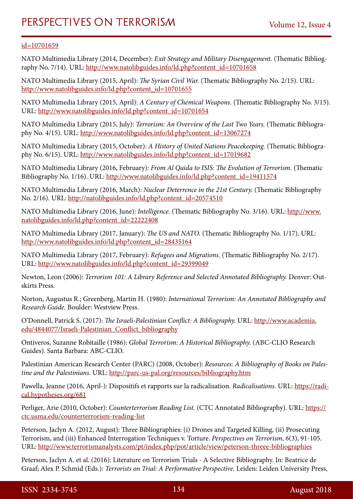### [id=10701659](http://www.natolibguides.info/ld.php?content_id=10701659)

NATO Multimedia Library (2014, December): *Exit Strategy and Military Disengagement.* (Thematic Bibliography No. 7/14). URL: [http://www.natolibguides.info/ld.php?content\\_id=10701658](http://www.natolibguides.info/ld.php?content_id=10701658)

NATO Multimedia Library (2015, April): *The Syrian Civil War.* (Thematic Bibliography No. 2/15). URL: [http://www.natolibguides.info/ld.php?content\\_id=10701655](http://www.natolibguides.info/ld.php?content_id=10701655)

NATO Multimedia Library (2015, April): *A Century of Chemical Weapons.* (Thematic Bibliography No. 3/15). URL: [http://www.natolibguides.info/ld.php?content\\_id=10701654](http://www.natolibguides.info/ld.php?content_id=10701654)

NATO Multimedia Library (2015, July): *Terrorism: An Overview of the Last Two Years.* (Thematic Bibliography No. 4/15). URL: [http://www.natolibguides.info/ld.php?content\\_id=13067274](http://www.natolibguides.info/ld.php?content_id=13067274)

NATO Multimedia Library (2015, October): *A History of United Nations Peacekeeping.* (Thematic Bibliography No. 6/15). URL: [http://www.natolibguides.info/ld.php?content\\_id=17019682](http://www.natolibguides.info/ld.php?content_id=17019682)

NATO Multimedia Library (2016, February): *From Al Qaida to ISIS: The Evolution of Terrorism.* (Thematic Bibliography No. 1/16). URL: [http://www.natolibguides.info/ld.php?content\\_id=19411574](http://www.natolibguides.info/ld.php?content_id=19411574)

NATO Multimedia Library (2016, March): *Nuclear Deterrence in the 21st Century.* (Thematic Bibliography No. 2/16). URL: [http://natolibguides.info/ld.php?content\\_id=20574510](http://natolibguides.info/ld.php?content_id=20574510)

NATO Multimedia Library (2016, June): *Intelligence.* (Thematic Bibliography No. 3/16). URL: [http://www.](http://www.natolibguides.info/ld.php?content_id=22222408) [natolibguides.info/ld.php?content\\_id=22222408](http://www.natolibguides.info/ld.php?content_id=22222408)

NATO Multimedia Library (2017, January): *The US and NATO.* (Thematic Bibliography No. 1/17). URL: [http://www.natolibguides.info/ld.php?content\\_id=28435164](http://www.natolibguides.info/ld.php?content_id=28435164)

NATO Multimedia Library (2017, February): *Refugees and Migrations.* (Thematic Bibliography No. 2/17). URL: [http://www.natolibguides.info/ld.php?content\\_id=29399049](http://www.natolibguides.info/ld.php?content_id=29399049)

Newton, Leon (2006): *Terrorism 101: A Library Reference and Selected Annotated Bibliography.* Denver: Outskirts Press.

Norton, Augustus R.; Greenberg, Martin H. (1980): *International Terrorism: An Annotated Bibliography and Research Guide.* Boulder: Westview Press.

O'Donnell, Patrick S. (2017): *The Israeli-Palestinian Conflict: A Bibliography.* URL: [http://www.academia.](http://www.academia.edu/4844077/Israeli-Palestinian_Conflict_bibliography) [edu/4844077/Israeli-Palestinian\\_Conflict\\_bibliography](http://www.academia.edu/4844077/Israeli-Palestinian_Conflict_bibliography)

Ontiveros, Suzanne Robitaille (1986): *Global Terrorism: A Historical Bibliography.* (ABC-CLIO Research Guides). Santa Barbara: ABC-CLIO.

Palestinian American Research Center (PARC) (2008, October): *Resources: A Bibliography of Books on Palestine and the Palestinians.* URL:<http://parc-us-pal.org/resources/bibliography.htm>

Pawella, Jeanne (2016, April-): Dispositifs et rapports sur la radicalisation. *Radicalisations.* URL: [https://radi](https://radical.hypotheses.org/681)[cal.hypotheses.org/681](https://radical.hypotheses.org/681)

Perliger, Arie (2010, October): *Counterterrorism Reading List.* (CTC Annotated Bibliography). URL: [https://](https://ctc.usma.edu/counterterrorism-reading-list) [ctc.usma.edu/counterterrorism-reading-list](https://ctc.usma.edu/counterterrorism-reading-list)

Peterson, Jaclyn A. (2012, August): Three Bibliographies: (i) Drones and Targeted Killing, (ii) Prosecuting Terrorism, and (iii) Enhanced Interrogation Techniques v. Torture. *Perspectives on Terrorism*, *6*(3), 91-105. URL:<http://www.terrorismanalysts.com/pt/index.php/pot/article/view/peterson-threee-bibliographies>

Peterson, Jaclyn A. et al. (2016): Literature on Terrorism Trials - A Selective Bibliography. In: Beatrice de Graaf; Alex P. Schmid (Eds.): *Terrorists on Trial: A Performative Perspective.* Leiden: Leiden University Press,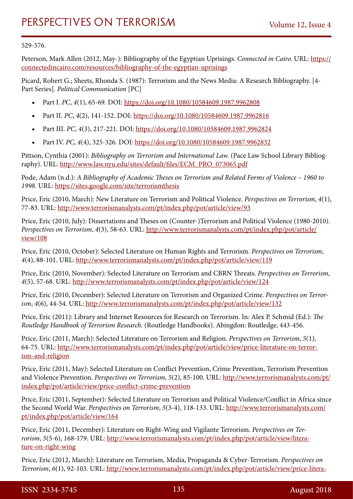#### 529-576.

Peterson, Mark Allen (2012, May-): Bibliography of the Egyptian Uprisings. *Connected in Cairo.* URL: [https://](https://connectedincairo.com/resources/bibliography-of-the-egyptian-uprisings) [connectedincairo.com/resources/bibliography-of-the-egyptian-uprisings](https://connectedincairo.com/resources/bibliography-of-the-egyptian-uprisings)

Picard, Robert G.; Sheets, Rhonda S. (1987): Terrorism and the News Media: A Research Bibliography. [4- Part Series]. *Political Communication* [PC]

- Part I. *PC*, 4(1), 65-69. DOI:<https://doi.org/10.1080/10584609.1987.9962808>
- Part II. *PC*, 4(2), 141-152. DOI: <https://doi.org/10.1080/10584609.1987.9962816>
- • Part III. *PC*, *4*(3), 217-221. DOI:<https://doi.org/10.1080/10584609.1987.9962824>
- Part IV. *PC*, 4(4), 325-326. DOI: <https://doi.org/10.1080/10584609.1987.9962832>

Pittson, Cynthia (2001): *Bibliography on Terrorism and International Law.* (Pace Law School Library Bibliography). URL: [http://www.law.nyu.edu/sites/default/files/ECM\\_PRO\\_073065.pdf](http://www.law.nyu.edu/sites/default/files/ECM_PRO_073065.pdf)

Pode, Adam (n.d.): *A Bibliography of Academic Theses on Terrorism and Related Forms of Violence – 1960 to 1998.* URL: <https://sites.google.com/site/terrorismthesis>

Price, Eric (2010, March): New Literature on Terrorism and Political Violence. *Perspectives on Terrorism*, *4*(1), 77-83. URL: <http://www.terrorismanalysts.com/pt/index.php/pot/article/view/93>

Price, Eric (2010, July): Dissertations and Theses on (Counter-)Terrorism and Political Violence (1980-2010). *Perspectives on Terrorism*, *4*(3), 58-63. URL: [http://www.terrorismanalysts.com/pt/index.php/pot/article/](http://www.terrorismanalysts.com/pt/index.php/pot/article/view/108) [view/108](http://www.terrorismanalysts.com/pt/index.php/pot/article/view/108)

Price, Eric (2010, October): Selected Literature on Human Rights and Terrorism. *Perspectives on Terrorism*, *4*(4), 88-101. URL: <http://www.terrorismanalysts.com/pt/index.php/pot/article/view/119>

Price, Eric (2010, November): Selected Literature on Terrorism and CBRN Threats. *Perspectives on Terrorism*, *4*(5), 57-68. URL:<http://www.terrorismanalysts.com/pt/index.php/pot/article/view/124>

Price, Eric (2010, December): Selected Literature on Terrorism and Organized Crime. *Perspectives on Terrorism*, *4*(6), 44-54. URL:<http://www.terrorismanalysts.com/pt/index.php/pot/article/view/132>

Price, Eric (2011): Library and Internet Resources for Research on Terrorism. In: Alex P. Schmid (Ed.): *The Routledge Handbook of Terrorism Research.* (Routledge Handbooks). Abingdon: Routledge, 443-456.

Price, Eric (2011, March): Selected Literature on Terrorism and Religion. *Perspectives on Terrorism*, *5*(1), 64-75. URL: [http://www.terrorismanalysts.com/pt/index.php/pot/article/view/price-literature-on-terror](http://www.terrorismanalysts.com/pt/index.php/pot/article/view/price-literature-on-terrorism-and-religion)[ism-and-religion](http://www.terrorismanalysts.com/pt/index.php/pot/article/view/price-literature-on-terrorism-and-religion)

Price, Eric (2011, May): Selected Literature on Conflict Prevention, Crime Prevention, Terrorism Prevention and Violence Prevention. *Perspectives on Terrorism*, *5*(2), 85-100. URL: [http://www.terrorismanalysts.com/pt/](http://www.terrorismanalysts.com/pt/index.php/pot/article/view/price-conflict-crime-prevention) [index.php/pot/article/view/price-conflict-crime-prevention](http://www.terrorismanalysts.com/pt/index.php/pot/article/view/price-conflict-crime-prevention)

Price, Eric (2011, September): Selected Literature on Terrorism and Political Violence/Conflict in Africa since the Second World War. *Perspectives on Terrorism*, *5*(3-4), 118-133. URL: [http://www.terrorismanalysts.com/](http://www.terrorismanalysts.com/pt/index.php/pot/article/view/164) [pt/index.php/pot/article/view/164](http://www.terrorismanalysts.com/pt/index.php/pot/article/view/164)

Price, Eric (2011, December): Literature on Right-Wing and Vigilante Terrorism. *Perspectives on Terrorism*, *5*(5-6), 168-179. URL: [http://www.terrorismanalysts.com/pt/index.php/pot/article/view/litera](http://www.terrorismanalysts.com/pt/index.php/pot/article/view/literature-on-right-wing)[ture-on-right-wing](http://www.terrorismanalysts.com/pt/index.php/pot/article/view/literature-on-right-wing)

Price, Eric (2012, March): Literature on Terrorism, Media, Propaganda & Cyber-Terrorism. *Perspectives on Terrorism*, *6*(1), 92-103. URL: [http://www.terrorismanalysts.com/pt/index.php/pot/article/view/price-litera-](http://www.terrorismanalysts.com/pt/index.php/pot/article/view/price-literature-terrorism-media)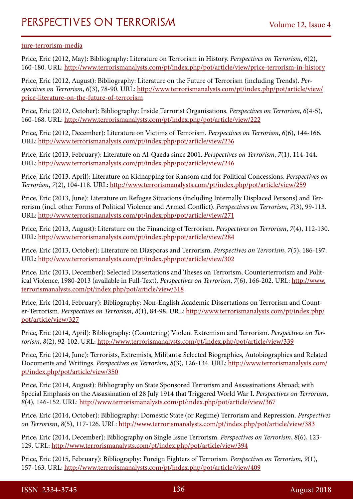#### [ture-terrorism-media](http://www.terrorismanalysts.com/pt/index.php/pot/article/view/price-literature-terrorism-media)

Price, Eric (2012, May): Bibliography: Literature on Terrorism in History. *Perspectives on Terrorism*, *6*(2), 160-180. URL:<http://www.terrorismanalysts.com/pt/index.php/pot/article/view/price-terrorism-in-history>

Price, Eric (2012, August): Bibliography: Literature on the Future of Terrorism (including Trends). *Perspectives on Terrorism*, *6*(3), 78-90. URL: [http://www.terrorismanalysts.com/pt/index.php/pot/article/view/](http://www.terrorismanalysts.com/pt/index.php/pot/article/view/price-literature-on-the-future-of-terrorism) [price-literature-on-the-future-of-terrorism](http://www.terrorismanalysts.com/pt/index.php/pot/article/view/price-literature-on-the-future-of-terrorism)

Price, Eric (2012, October): Bibliography: Inside Terrorist Organisations. *Perspectives on Terrorism*, *6*(4-5), 160-168. URL:<http://www.terrorismanalysts.com/pt/index.php/pot/article/view/222>

Price, Eric (2012, December): Literature on Victims of Terrorism. *Perspectives on Terrorism*, *6*(6), 144-166. URL:<http://www.terrorismanalysts.com/pt/index.php/pot/article/view/236>

Price, Eric (2013, February): Literature on Al-Qaeda since 2001. *Perspectives on Terrorism*, *7*(1), 114-144. URL:<http://www.terrorismanalysts.com/pt/index.php/pot/article/view/246>

Price, Eric (2013, April): Literature on Kidnapping for Ransom and for Political Concessions. *Perspectives on Terrorism*, *7*(2), 104-118. URL:<http://www.terrorismanalysts.com/pt/index.php/pot/article/view/259>

Price, Eric (2013, June): Literature on Refugee Situations (including Internally Displaced Persons) and Terrorism (incl. other Forms of Political Violence and Armed Conflict). *Perspectives on Terrorism*, *7*(3), 99-113. URL:<http://www.terrorismanalysts.com/pt/index.php/pot/article/view/271>

Price, Eric (2013, August): Literature on the Financing of Terrorism. *Perspectives on Terrorism*, *7*(4), 112-130. URL:<http://www.terrorismanalysts.com/pt/index.php/pot/article/view/284>

Price, Eric (2013, October): Literature on Diasporas and Terrorism. *Perspectives on Terrorism*, *7*(5), 186-197. URL:<http://www.terrorismanalysts.com/pt/index.php/pot/article/view/302>

Price, Eric (2013, December): Selected Dissertations and Theses on Terrorism, Counterterrorism and Political Violence, 1980-2013 (available in Full-Text). *Perspectives on Terrorism*, *7*(6), 166-202. URL: [http://www.](http://www.terrorismanalysts.com/pt/index.php/pot/article/view/318) [terrorismanalysts.com/pt/index.php/pot/article/view/318](http://www.terrorismanalysts.com/pt/index.php/pot/article/view/318)

Price, Eric (2014, February): Bibliography: Non-English Academic Dissertations on Terrorism and Counter-Terrorism. *Perspectives on Terrorism*, *8*(1), 84-98. URL: [http://www.terrorismanalysts.com/pt/index.php/](http://www.terrorismanalysts.com/pt/index.php/pot/article/view/327) [pot/article/view/327](http://www.terrorismanalysts.com/pt/index.php/pot/article/view/327)

Price, Eric (2014, April): Bibliography: (Countering) Violent Extremism and Terrorism. *Perspectives on Terrorism*, *8*(2), 92-102. URL:<http://www.terrorismanalysts.com/pt/index.php/pot/article/view/339>

Price, Eric (2014, June): Terrorists, Extremists, Militants: Selected Biographies, Autobiographies and Related Documents and Writings. *Perspectives on Terrorism*, *8*(3), 126-134. URL: [http://www.terrorismanalysts.com/](http://www.terrorismanalysts.com/pt/index.php/pot/article/view/350) [pt/index.php/pot/article/view/350](http://www.terrorismanalysts.com/pt/index.php/pot/article/view/350)

Price, Eric (2014, August): Bibliography on State Sponsored Terrorism and Assassinations Abroad; with Special Emphasis on the Assassination of 28 July 1914 that Triggered World War I. *Perspectives on Terrorism*, *8*(4), 146-152. URL: <http://www.terrorismanalysts.com/pt/index.php/pot/article/view/367>

Price, Eric (2014, October): Bibliography: Domestic State (or Regime) Terrorism and Repression. *Perspectives on Terrorism*, *8*(5), 117-126. URL:<http://www.terrorismanalysts.com/pt/index.php/pot/article/view/383>

Price, Eric (2014, December): Bibliography on Single Issue Terrorism. *Perspectives on Terrorism*, *8*(6), 123- 129. URL: <http://www.terrorismanalysts.com/pt/index.php/pot/article/view/394>

Price, Eric (2015, February): Bibliography: Foreign Fighters of Terrorism. *Perspectives on Terrorism*, *9*(1), 157-163. URL:<http://www.terrorismanalysts.com/pt/index.php/pot/article/view/409>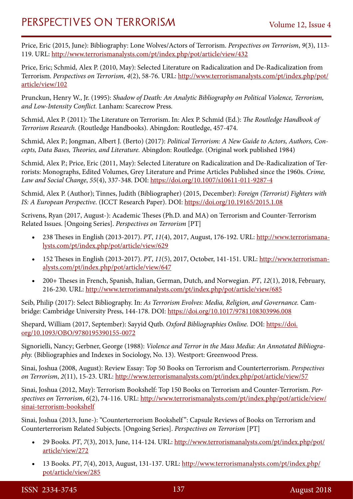Price, Eric (2015, June): Bibliography: Lone Wolves/Actors of Terrorism. *Perspectives on Terrorism*, *9*(3), 113- 119. URL: <http://www.terrorismanalysts.com/pt/index.php/pot/article/view/432>

Price, Eric; Schmid, Alex P. (2010, May): Selected Literature on Radicalization and De-Radicalization from Terrorism. *Perspectives on Terrorism*, *4*(2), 58-76. URL: [http://www.terrorismanalysts.com/pt/index.php/pot/](http://www.terrorismanalysts.com/pt/index.php/pot/article/view/102) [article/view/102](http://www.terrorismanalysts.com/pt/index.php/pot/article/view/102)

Prunckun, Henry W., Jr. (1995): *Shadow of Death: An Analytic Bibliography on Political Violence, Terrorism, and Low-Intensity Conflict.* Lanham: Scarecrow Press.

Schmid, Alex P. (2011): The Literature on Terrorism. In: Alex P. Schmid (Ed.): *The Routledge Handbook of Terrorism Research.* (Routledge Handbooks). Abingdon: Routledge, 457-474.

Schmid, Alex P.; Jongman, Albert J. (Berto) (2017): *Political Terrorism: A New Guide to Actors, Authors, Concepts, Data Bases, Theories, and Literature.* Abingdon: Routledge. (Original work published 1984)

Schmid, Alex P.; Price, Eric (2011, May): Selected Literature on Radicalization and De-Radicalization of Terrorists: Monographs, Edited Volumes, Grey Literature and Prime Articles Published since the 1960s. *Crime, Law and Social Change*, *55*(4), 337-348. DOI: <https://doi.org/10.1007/s10611-011-9287-4>

Schmid, Alex P. (Author); Tinnes, Judith (Bibliographer) (2015, December): *Foreign (Terrorist) Fighters with IS: A European Perspective.* (ICCT Research Paper). DOI:<https://doi.org/10.19165/2015.1.08>

Scrivens, Ryan (2017, August-): Academic Theses (Ph.D. and MA) on Terrorism and Counter-Terrorism Related Issues. [Ongoing Series]. *Perspectives on Terrorism* [PT]

- 238 Theses in English (2013-2017). *PT*, *11*(4), 2017, August, 176-192. URL: [http://www.terrorismana](http://www.terrorismanalysts.com/pt/index.php/pot/article/view/629)[lysts.com/pt/index.php/pot/article/view/629](http://www.terrorismanalysts.com/pt/index.php/pot/article/view/629)
- • 152 Theses in English (2013-2017). *PT*, *11*(5), 2017, October, 141-151. URL: [http://www.terrorisman](http://www.terrorismanalysts.com/pt/index.php/pot/article/view/647)[alysts.com/pt/index.php/pot/article/view/647](http://www.terrorismanalysts.com/pt/index.php/pot/article/view/647)
- • 200+ Theses in French, Spanish, Italian, German, Dutch, and Norwegian. *PT*, *12*(1), 2018, February, 216-230. URL:<http://www.terrorismanalysts.com/pt/index.php/pot/article/view/685>

Seib, Philip (2017): Select Bibliography. In: *As Terrorism Evolves: Media, Religion, and Governance.* Cambridge: Cambridge University Press, 144-178. DOI: <https://doi.org/10.1017/9781108303996.008>

Shepard, William (2017, September): Sayyid Qutb. *Oxford Bibliographies Online.* DOI: [https://doi.](https://doi.org/10.1093/OBO/9780195390155-0072) [org/10.1093/OBO/9780195390155-0072](https://doi.org/10.1093/OBO/9780195390155-0072)

Signorielli, Nancy; Gerbner, George (1988): *Violence and Terror in the Mass Media: An Annotated Bibliography.* (Bibliographies and Indexes in Sociology, No. 13). Westport: Greenwood Press.

Sinai, Joshua (2008, August): Review Essay: Top 50 Books on Terrorism and Counterterrorism. *Perspectives on Terrorism*, *2*(11), 15-23. URL:<http://www.terrorismanalysts.com/pt/index.php/pot/article/view/57>

Sinai, Joshua (2012, May): Terrorism Bookshelf: Top 150 Books on Terrorism and Counter-Terrorism. *Perspectives on Terrorism*, *6*(2), 74-116. URL: [http://www.terrorismanalysts.com/pt/index.php/pot/article/view/](http://www.terrorismanalysts.com/pt/index.php/pot/article/view/sinai-terrorism-bookshelf) [sinai-terrorism-bookshelf](http://www.terrorismanalysts.com/pt/index.php/pot/article/view/sinai-terrorism-bookshelf)

Sinai, Joshua (2013, June-): "Counterterrorism Bookshelf ": Capsule Reviews of Books on Terrorism and Counterterrorism Related Subjects. [Ongoing Series]. *Perspectives on Terrorism* [PT]

- • 29 Books. *PT*, *7*(3), 2013, June, 114-124. URL: [http://www.terrorismanalysts.com/pt/index.php/pot/](http://www.terrorismanalysts.com/pt/index.php/pot/article/view/272) [article/view/272](http://www.terrorismanalysts.com/pt/index.php/pot/article/view/272)
- 13 Books. *PT*, *7*(4), 2013, August, 131-137. URL: [http://www.terrorismanalysts.com/pt/index.php/](http://www.terrorismanalysts.com/pt/index.php/pot/article/view/285) [pot/article/view/285](http://www.terrorismanalysts.com/pt/index.php/pot/article/view/285)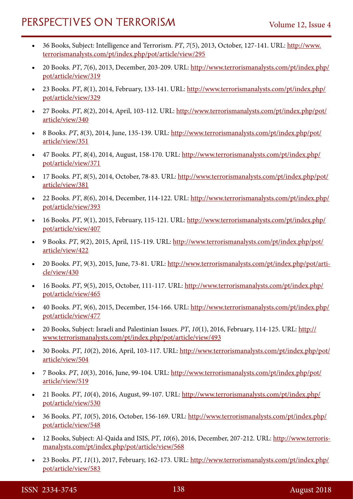- 36 Books, Subject: Intelligence and Terrorism. *PT*, *7*(5), 2013, October, 127-141. URL: [http://www.](http://www.terrorismanalysts.com/pt/index.php/pot/article/view/295) [terrorismanalysts.com/pt/index.php/pot/article/view/295](http://www.terrorismanalysts.com/pt/index.php/pot/article/view/295)
- • 20 Books. *PT*, *7*(6), 2013, December, 203-209. URL: [http://www.terrorismanalysts.com/pt/index.php/](http://www.terrorismanalysts.com/pt/index.php/pot/article/view/319) [pot/article/view/319](http://www.terrorismanalysts.com/pt/index.php/pot/article/view/319)
- • 23 Books. *PT*, *8*(1), 2014, February, 133-141. URL: [http://www.terrorismanalysts.com/pt/index.php/](http://www.terrorismanalysts.com/pt/index.php/pot/article/view/329) [pot/article/view/329](http://www.terrorismanalysts.com/pt/index.php/pot/article/view/329)
- • 27 Books. *PT*, *8*(2), 2014, April, 103-112. URL: [http://www.terrorismanalysts.com/pt/index.php/pot/](http://www.terrorismanalysts.com/pt/index.php/pot/article/view/340) [article/view/340](http://www.terrorismanalysts.com/pt/index.php/pot/article/view/340)
- • 8 Books. *PT*, *8*(3), 2014, June, 135-139. URL: [http://www.terrorismanalysts.com/pt/index.php/pot/](http://www.terrorismanalysts.com/pt/index.php/pot/article/view/351) [article/view/351](http://www.terrorismanalysts.com/pt/index.php/pot/article/view/351)
- • 47 Books. *PT*, *8*(4), 2014, August, 158-170. URL: [http://www.terrorismanalysts.com/pt/index.php/](http://www.terrorismanalysts.com/pt/index.php/pot/article/view/371) [pot/article/view/371](http://www.terrorismanalysts.com/pt/index.php/pot/article/view/371)
- • 17 Books. *PT*, *8*(5), 2014, October, 78-83. URL: [http://www.terrorismanalysts.com/pt/index.php/pot/](http://www.terrorismanalysts.com/pt/index.php/pot/article/view/381) [article/view/381](http://www.terrorismanalysts.com/pt/index.php/pot/article/view/381)
- • 22 Books. *PT*, *8*(6), 2014, December, 114-122. URL: [http://www.terrorismanalysts.com/pt/index.php/](http://www.terrorismanalysts.com/pt/index.php/pot/article/view/393) [pot/article/view/393](http://www.terrorismanalysts.com/pt/index.php/pot/article/view/393)
- • 16 Books. *PT*, *9*(1), 2015, February, 115-121. URL: [http://www.terrorismanalysts.com/pt/index.php/](http://www.terrorismanalysts.com/pt/index.php/pot/article/view/407) [pot/article/view/407](http://www.terrorismanalysts.com/pt/index.php/pot/article/view/407)
- • 9 Books. *PT*, *9*(2), 2015, April, 115-119. URL: [http://www.terrorismanalysts.com/pt/index.php/pot/](http://www.terrorismanalysts.com/pt/index.php/pot/article/view/422) [article/view/422](http://www.terrorismanalysts.com/pt/index.php/pot/article/view/422)
- • 20 Books. *PT*, *9*(3), 2015, June, 73-81. URL: [http://www.terrorismanalysts.com/pt/index.php/pot/arti](http://www.terrorismanalysts.com/pt/index.php/pot/article/view/430)[cle/view/430](http://www.terrorismanalysts.com/pt/index.php/pot/article/view/430)
- 16 Books. PT, 9(5), 2015, October, 111-117. URL: [http://www.terrorismanalysts.com/pt/index.php/](http://www.terrorismanalysts.com/pt/index.php/pot/article/view/465) [pot/article/view/465](http://www.terrorismanalysts.com/pt/index.php/pot/article/view/465)
- • 40 Books. *PT*, *9*(6), 2015, December, 154-166. URL: [http://www.terrorismanalysts.com/pt/index.php/](http://www.terrorismanalysts.com/pt/index.php/pot/article/view/477) [pot/article/view/477](http://www.terrorismanalysts.com/pt/index.php/pot/article/view/477)
- • 20 Books, Subject: Israeli and Palestinian Issues. *PT*, *10*(1), 2016, February, 114-125. URL: [http://](http://www.terrorismanalysts.com/pt/index.php/pot/article/view/493) [www.terrorismanalysts.com/pt/index.php/pot/article/view/493](http://www.terrorismanalysts.com/pt/index.php/pot/article/view/493)
- 30 Books. PT, 10(2), 2016, April, 103-117. URL: [http://www.terrorismanalysts.com/pt/index.php/pot/](http://www.terrorismanalysts.com/pt/index.php/pot/article/view/504) [article/view/504](http://www.terrorismanalysts.com/pt/index.php/pot/article/view/504)
- • 7 Books. *PT*, *10*(3), 2016, June, 99-104. URL: [http://www.terrorismanalysts.com/pt/index.php/pot/](http://www.terrorismanalysts.com/pt/index.php/pot/article/view/519) [article/view/519](http://www.terrorismanalysts.com/pt/index.php/pot/article/view/519)
- • 21 Books. *PT*, *10*(4), 2016, August, 99-107. URL: [http://www.terrorismanalysts.com/pt/index.php/](http://www.terrorismanalysts.com/pt/index.php/pot/article/view/530) [pot/article/view/530](http://www.terrorismanalysts.com/pt/index.php/pot/article/view/530)
- • 36 Books. *PT*, *10*(5), 2016, October, 156-169. URL: [http://www.terrorismanalysts.com/pt/index.php/](http://www.terrorismanalysts.com/pt/index.php/pot/article/view/548) [pot/article/view/548](http://www.terrorismanalysts.com/pt/index.php/pot/article/view/548)
- • 12 Books, Subject: Al-Qaida and ISIS, *PT*, *10*(6), 2016, December, 207-212. URL: [http://www.terroris](http://www.terrorismanalysts.com/pt/index.php/pot/article/view/568)[manalysts.com/pt/index.php/pot/article/view/568](http://www.terrorismanalysts.com/pt/index.php/pot/article/view/568)
- • 23 Books. *PT*, *11*(1), 2017, February, 162-173. URL: [http://www.terrorismanalysts.com/pt/index.php/](http://www.terrorismanalysts.com/pt/index.php/pot/article/view/583) [pot/article/view/583](http://www.terrorismanalysts.com/pt/index.php/pot/article/view/583)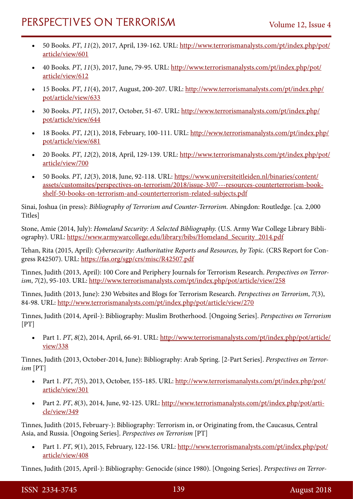- • 50 Books. *PT*, *11*(2), 2017, April, 139-162. URL: [http://www.terrorismanalysts.com/pt/index.php/pot/](http://www.terrorismanalysts.com/pt/index.php/pot/article/view/601) [article/view/601](http://www.terrorismanalysts.com/pt/index.php/pot/article/view/601)
- • 40 Books. *PT*, *11*(3), 2017, June, 79-95. URL: [http://www.terrorismanalysts.com/pt/index.php/pot/](http://www.terrorismanalysts.com/pt/index.php/pot/article/view/612) [article/view/612](http://www.terrorismanalysts.com/pt/index.php/pot/article/view/612)
- 15 Books. PT, 11(4), 2017, August, 200-207. URL: [http://www.terrorismanalysts.com/pt/index.php/](http://www.terrorismanalysts.com/pt/index.php/pot/article/view/633) [pot/article/view/633](http://www.terrorismanalysts.com/pt/index.php/pot/article/view/633)
- 30 Books. PT, 11(5), 2017, October, 51-67. URL: [http://www.terrorismanalysts.com/pt/index.php/](http://www.terrorismanalysts.com/pt/index.php/pot/article/view/644) [pot/article/view/644](http://www.terrorismanalysts.com/pt/index.php/pot/article/view/644)
- 18 Books. PT, 12(1), 2018, February, 100-111. URL: [http://www.terrorismanalysts.com/pt/index.php/](http://www.terrorismanalysts.com/pt/index.php/pot/article/view/681) [pot/article/view/681](http://www.terrorismanalysts.com/pt/index.php/pot/article/view/681)
- • 20 Books. *PT*, *12*(2), 2018, April, 129-139. URL: [http://www.terrorismanalysts.com/pt/index.php/pot/](http://www.terrorismanalysts.com/pt/index.php/pot/article/view/700) [article/view/700](http://www.terrorismanalysts.com/pt/index.php/pot/article/view/700)
- • 50 Books. *PT*, *12*(3), 2018, June, 92-118. URL: [https://www.universiteitleiden.nl/binaries/content/](https://www.universiteitleiden.nl/binaries/content/assets/customsites/perspectives-on-terrorism/2018/issue-3/07---resources-counterterrorism-bookshelf-50-books-on-terrorism-and-counterterrorism-related-subjects.pdf) [assets/customsites/perspectives-on-terrorism/2018/issue-3/07---resources-counterterrorism-book](https://www.universiteitleiden.nl/binaries/content/assets/customsites/perspectives-on-terrorism/2018/issue-3/07---resources-counterterrorism-bookshelf-50-books-on-terrorism-and-counterterrorism-related-subjects.pdf)[shelf-50-books-on-terrorism-and-counterterrorism-related-subjects.pdf](https://www.universiteitleiden.nl/binaries/content/assets/customsites/perspectives-on-terrorism/2018/issue-3/07---resources-counterterrorism-bookshelf-50-books-on-terrorism-and-counterterrorism-related-subjects.pdf)

Sinai, Joshua (in press): *Bibliography of Terrorism and Counter-Terrorism.* Abingdon: Routledge. [ca. 2,000 Titles]

Stone, Amie (2014, July): *Homeland Security: A Selected Bibliography.* (U.S. Army War College Library Bibliography). URL: [https://www.armywarcollege.edu/library/bibs/Homeland\\_Security\\_2014.pdf](https://www.armywarcollege.edu/library/bibs/Homeland_Security_2014.pdf)

Tehan, Rita (2015, April): *Cybersecurity: Authoritative Reports and Resources, by Topic.* (CRS Report for Congress R42507). URL: <https://fas.org/sgp/crs/misc/R42507.pdf>

Tinnes, Judith (2013, April): 100 Core and Periphery Journals for Terrorism Research. *Perspectives on Terrorism*, *7*(2), 95-103. URL:<http://www.terrorismanalysts.com/pt/index.php/pot/article/view/258>

Tinnes, Judith (2013, June): 230 Websites and Blogs for Terrorism Research. *Perspectives on Terrorism*, *7*(3), 84-98. URL: <http://www.terrorismanalysts.com/pt/index.php/pot/article/view/270>

Tinnes, Judith (2014, April-): Bibliography: Muslim Brotherhood. [Ongoing Series]. *Perspectives on Terrorism* [PT]

• Part 1. *PT*, *8*(2), 2014, April, 66-91. URL: [http://www.terrorismanalysts.com/pt/index.php/pot/article/](http://www.terrorismanalysts.com/pt/index.php/pot/article/view/338) [view/338](http://www.terrorismanalysts.com/pt/index.php/pot/article/view/338)

Tinnes, Judith (2013, October-2014, June): Bibliography: Arab Spring. [2-Part Series]. *Perspectives on Terrorism* [PT]

- • Part 1. *PT*, *7*(5), 2013, October, 155-185. URL: [http://www.terrorismanalysts.com/pt/index.php/pot/](http://www.terrorismanalysts.com/pt/index.php/pot/article/view/301) [article/view/301](http://www.terrorismanalysts.com/pt/index.php/pot/article/view/301)
- Part 2. *PT*, *8*(3), 2014, June, 92-125. URL: [http://www.terrorismanalysts.com/pt/index.php/pot/arti](http://www.terrorismanalysts.com/pt/index.php/pot/article/view/349)[cle/view/349](http://www.terrorismanalysts.com/pt/index.php/pot/article/view/349)

Tinnes, Judith (2015, February-): Bibliography: Terrorism in, or Originating from, the Caucasus, Central Asia, and Russia. [Ongoing Series]. *Perspectives on Terrorism* [PT]

Part 1. *PT*, 9(1), 2015, February, 122-156. URL: [http://www.terrorismanalysts.com/pt/index.php/pot/](http://www.terrorismanalysts.com/pt/index.php/pot/article/view/408) [article/view/408](http://www.terrorismanalysts.com/pt/index.php/pot/article/view/408)

Tinnes, Judith (2015, April-): Bibliography: Genocide (since 1980). [Ongoing Series]. *Perspectives on Terror-*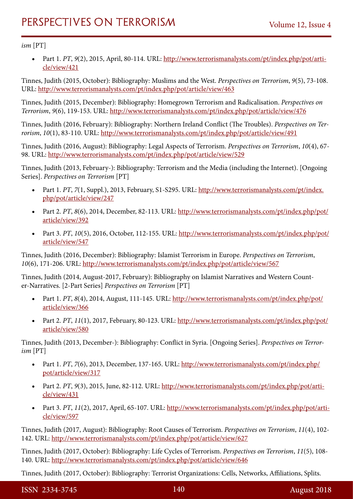### *ism* [PT]

Part 1. *PT*, 9(2), 2015, April, 80-114. URL: [http://www.terrorismanalysts.com/pt/index.php/pot/arti](http://www.terrorismanalysts.com/pt/index.php/pot/article/view/421)[cle/view/421](http://www.terrorismanalysts.com/pt/index.php/pot/article/view/421)

Tinnes, Judith (2015, October): Bibliography: Muslims and the West. *Perspectives on Terrorism*, *9*(5), 73-108. URL:<http://www.terrorismanalysts.com/pt/index.php/pot/article/view/463>

Tinnes, Judith (2015, December): Bibliography: Homegrown Terrorism and Radicalisation. *Perspectives on Terrorism*, *9*(6), 119-153. URL:<http://www.terrorismanalysts.com/pt/index.php/pot/article/view/476>

Tinnes, Judith (2016, February): Bibliography: Northern Ireland Conflict (The Troubles). *Perspectives on Terrorism*, *10*(1), 83-110. URL:<http://www.terrorismanalysts.com/pt/index.php/pot/article/view/491>

Tinnes, Judith (2016, August): Bibliography: Legal Aspects of Terrorism. *Perspectives on Terrorism*, *10*(4), 67- 98. URL:<http://www.terrorismanalysts.com/pt/index.php/pot/article/view/529>

Tinnes, Judith (2013, February-): Bibliography: Terrorism and the Media (including the Internet). [Ongoing Series]. *Perspectives on Terrorism* [PT]

- Part 1. *PT*, *7*(1, Suppl.), 2013, February, S1-S295. URL: [http://www.terrorismanalysts.com/pt/index.](http://www.terrorismanalysts.com/pt/index.php/pot/article/view/247) [php/pot/article/view/247](http://www.terrorismanalysts.com/pt/index.php/pot/article/view/247)
- • Part 2. *PT*, *8*(6), 2014, December, 82-113. URL: [http://www.terrorismanalysts.com/pt/index.php/pot/](http://www.terrorismanalysts.com/pt/index.php/pot/article/view/392) [article/view/392](http://www.terrorismanalysts.com/pt/index.php/pot/article/view/392)
- Part 3. *PT*, 10(5), 2016, October, 112-155. URL: [http://www.terrorismanalysts.com/pt/index.php/pot/](http://www.terrorismanalysts.com/pt/index.php/pot/article/view/547) [article/view/547](http://www.terrorismanalysts.com/pt/index.php/pot/article/view/547)

Tinnes, Judith (2016, December): Bibliography: Islamist Terrorism in Europe. *Perspectives on Terrorism*, *10*(6), 171-206. URL:<http://www.terrorismanalysts.com/pt/index.php/pot/article/view/567>

Tinnes, Judith (2014, August-2017, February): Bibliography on Islamist Narratives and Western Counter-Narratives. [2-Part Series] *Perspectives on Terrorism* [PT]

- Part 1. *PT*, *8*(4), 2014, August, 111-145. URL: [http://www.terrorismanalysts.com/pt/index.php/pot/](http://www.terrorismanalysts.com/pt/index.php/pot/article/view/366) [article/view/366](http://www.terrorismanalysts.com/pt/index.php/pot/article/view/366)
- Part 2. *PT*, 11(1), 2017, February, 80-123. URL: [http://www.terrorismanalysts.com/pt/index.php/pot/](http://www.terrorismanalysts.com/pt/index.php/pot/article/view/580) [article/view/580](http://www.terrorismanalysts.com/pt/index.php/pot/article/view/580)

Tinnes, Judith (2013, December-): Bibliography: Conflict in Syria. [Ongoing Series]. *Perspectives on Terrorism* [PT]

- Part 1. *PT*, *7*(6), 2013, December, 137-165. URL: [http://www.terrorismanalysts.com/pt/index.php/](http://www.terrorismanalysts.com/pt/index.php/pot/article/view/317) [pot/article/view/317](http://www.terrorismanalysts.com/pt/index.php/pot/article/view/317)
- Part 2. *PT*, 9(3), 2015, June, 82-112. URL: [http://www.terrorismanalysts.com/pt/index.php/pot/arti](http://www.terrorismanalysts.com/pt/index.php/pot/article/view/431)[cle/view/431](http://www.terrorismanalysts.com/pt/index.php/pot/article/view/431)
- Part 3. *PT*, 11(2), 2017, April, 65-107. URL: [http://www.terrorismanalysts.com/pt/index.php/pot/arti](http://www.terrorismanalysts.com/pt/index.php/pot/article/view/597)[cle/view/597](http://www.terrorismanalysts.com/pt/index.php/pot/article/view/597)

Tinnes, Judith (2017, August): Bibliography: Root Causes of Terrorism. *Perspectives on Terrorism*, *11*(4), 102- 142. URL: <http://www.terrorismanalysts.com/pt/index.php/pot/article/view/627>

Tinnes, Judith (2017, October): Bibliography: Life Cycles of Terrorism. *Perspectives on Terrorism*, *11*(5), 108- 140. URL: <http://www.terrorismanalysts.com/pt/index.php/pot/article/view/646>

Tinnes, Judith (2017, October): Bibliography: Terrorist Organizations: Cells, Networks, Affiliations, Splits.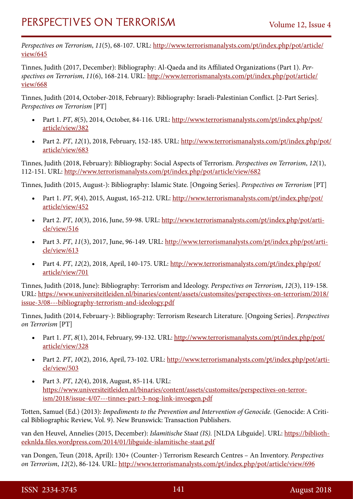*Perspectives on Terrorism*, *11*(5), 68-107. URL: [http://www.terrorismanalysts.com/pt/index.php/pot/article/](http://www.terrorismanalysts.com/pt/index.php/pot/article/view/645) [view/645](http://www.terrorismanalysts.com/pt/index.php/pot/article/view/645)

Tinnes, Judith (2017, December): Bibliography: Al-Qaeda and its Affiliated Organizations (Part 1). *Perspectives on Terrorism*, *11*(6), 168-214. URL: [http://www.terrorismanalysts.com/pt/index.php/pot/article/](http://www.terrorismanalysts.com/pt/index.php/pot/article/view/668) [view/668](http://www.terrorismanalysts.com/pt/index.php/pot/article/view/668)

Tinnes, Judith (2014, October-2018, February): Bibliography: Israeli-Palestinian Conflict. [2-Part Series]. *Perspectives on Terrorism* [PT]

- Part 1. *PT*, *8*(5), 2014, October, 84-116. URL: [http://www.terrorismanalysts.com/pt/index.php/pot/](http://www.terrorismanalysts.com/pt/index.php/pot/article/view/382) [article/view/382](http://www.terrorismanalysts.com/pt/index.php/pot/article/view/382)
- Part 2. *PT*, *12*(1), 2018, February, 152-185. URL: [http://www.terrorismanalysts.com/pt/index.php/pot/](http://www.terrorismanalysts.com/pt/index.php/pot/article/view/683) [article/view/683](http://www.terrorismanalysts.com/pt/index.php/pot/article/view/683)

Tinnes, Judith (2018, February): Bibliography: Social Aspects of Terrorism. *Perspectives on Terrorism*, *12*(1), 112-151. URL:<http://www.terrorismanalysts.com/pt/index.php/pot/article/view/682>

Tinnes, Judith (2015, August-): Bibliography: Islamic State. [Ongoing Series]. *Perspectives on Terrorism* [PT]

- Part 1. *PT*, *9*(4), 2015, August, 165-212. URL: [http://www.terrorismanalysts.com/pt/index.php/pot/](http://www.terrorismanalysts.com/pt/index.php/pot/article/view/452) [article/view/452](http://www.terrorismanalysts.com/pt/index.php/pot/article/view/452)
- Part 2. *PT*, *10*(3), 2016, June, 59-98. URL: [http://www.terrorismanalysts.com/pt/index.php/pot/arti](http://www.terrorismanalysts.com/pt/index.php/pot/article/view/516)[cle/view/516](http://www.terrorismanalysts.com/pt/index.php/pot/article/view/516)
- Part 3. *PT*, *11*(3), 2017, June, 96-149. URL: [http://www.terrorismanalysts.com/pt/index.php/pot/arti](http://www.terrorismanalysts.com/pt/index.php/pot/article/view/613)[cle/view/613](http://www.terrorismanalysts.com/pt/index.php/pot/article/view/613)
- Part 4. *PT*, *12*(2), 2018, April, 140-175. URL: [http://www.terrorismanalysts.com/pt/index.php/pot/](http://www.terrorismanalysts.com/pt/index.php/pot/article/view/701) [article/view/701](http://www.terrorismanalysts.com/pt/index.php/pot/article/view/701)

Tinnes, Judith (2018, June): Bibliography: Terrorism and Ideology. *Perspectives on Terrorism*, *12*(3), 119-158. URL: [https://www.universiteitleiden.nl/binaries/content/assets/customsites/perspectives-on-terrorism/2018/](https://www.universiteitleiden.nl/binaries/content/assets/customsites/perspectives-on-terrorism/2018/issue-3/08---bibliography-terrorism-and-ideology.pdf) [issue-3/08---bibliography-terrorism-and-ideology.pdf](https://www.universiteitleiden.nl/binaries/content/assets/customsites/perspectives-on-terrorism/2018/issue-3/08---bibliography-terrorism-and-ideology.pdf)

Tinnes, Judith (2014, February-): Bibliography: Terrorism Research Literature. [Ongoing Series]. *Perspectives on Terrorism* [PT]

- Part 1. *PT*, *8*(1), 2014, February, 99-132. URL: [http://www.terrorismanalysts.com/pt/index.php/pot/](http://www.terrorismanalysts.com/pt/index.php/pot/article/view/328) [article/view/328](http://www.terrorismanalysts.com/pt/index.php/pot/article/view/328)
- Part 2. *PT*, *10*(2), 2016, April, 73-102. URL: [http://www.terrorismanalysts.com/pt/index.php/pot/arti](http://www.terrorismanalysts.com/pt/index.php/pot/article/view/503)[cle/view/503](http://www.terrorismanalysts.com/pt/index.php/pot/article/view/503)
- Part 3. *PT*, *12*(4), 2018, August, 85-114. URL: [https://www.universiteitleiden.nl/binaries/content/assets/customsites/perspectives-on-terror](https://www.universiteitleiden.nl/binaries/content/assets/customsites/perspectives-on-terrorism/2018/issue-4/07---tinnes-part-3-nog-link-invoegen.pdf)[ism/2018/issue-4/07---tinnes-part-3-nog-link-invoegen.pdf](https://www.universiteitleiden.nl/binaries/content/assets/customsites/perspectives-on-terrorism/2018/issue-4/07---tinnes-part-3-nog-link-invoegen.pdf)

Totten, Samuel (Ed.) (2013): *Impediments to the Prevention and Intervention of Genocide.* (Genocide: A Critical Bibliographic Review, Vol. 9). New Brunswick: Transaction Publishers.

van den Heuvel, Annelies (2015, December): *Islamitische Staat (IS).* [NLDA Libguide]. URL: [https://biblioth](https://bibliotheeknlda.files.wordpress.com/2014/01/libguide-islamitische-staat.pdf)[eeknlda.files.wordpress.com/2014/01/libguide-islamitische-staat.pdf](https://bibliotheeknlda.files.wordpress.com/2014/01/libguide-islamitische-staat.pdf)

van Dongen, Teun (2018, April): 130+ (Counter-) Terrorism Research Centres – An Inventory. *Perspectives on Terrorism*, *12*(2), 86-124. URL:<http://www.terrorismanalysts.com/pt/index.php/pot/article/view/696>